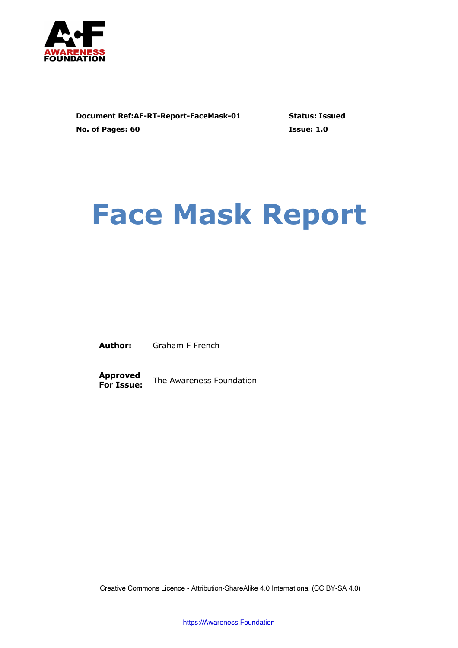

**Document Ref:AF-RT-Report-FaceMask-01 Status: Issued No. of Pages: 60 Issue: 1.0**

# **Face Mask Report**

**Author:** Graham F French

**Approved For Issue:** The Awareness Foundation

Creative Commons Licence - Attribution-ShareAlike 4.0 International (CC BY-SA 4.0)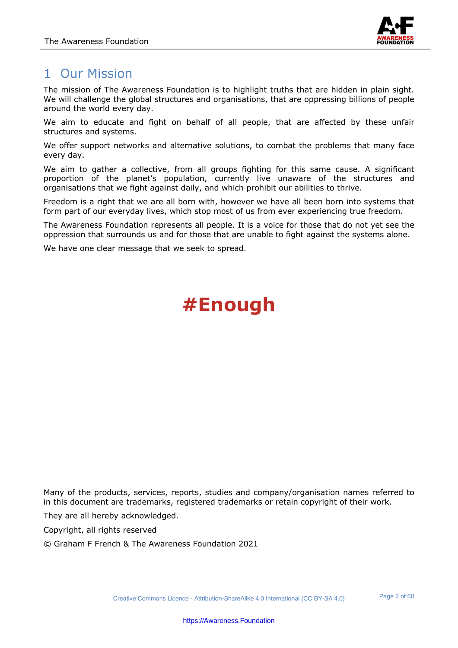

## 1 Our Mission

The mission of The Awareness Foundation is to highlight truths that are hidden in plain sight. We will challenge the global structures and organisations, that are oppressing billions of people around the world every day.

We aim to educate and fight on behalf of all people, that are affected by these unfair structures and systems.

We offer support networks and alternative solutions, to combat the problems that many face every day.

We aim to gather a collective, from all groups fighting for this same cause. A significant proportion of the planet's population, currently live unaware of the structures and organisations that we fight against daily, and which prohibit our abilities to thrive.

Freedom is a right that we are all born with, however we have all been born into systems that form part of our everyday lives, which stop most of us from ever experiencing true freedom.

The Awareness Foundation represents all people. It is a voice for those that do not yet see the oppression that surrounds us and for those that are unable to fight against the systems alone.

We have one clear message that we seek to spread.

# **#Enough**

Many of the products, services, reports, studies and company/organisation names referred to in this document are trademarks, registered trademarks or retain copyright of their work.

They are all hereby acknowledged.

Copyright, all rights reserved

© Graham F French & The Awareness Foundation 2021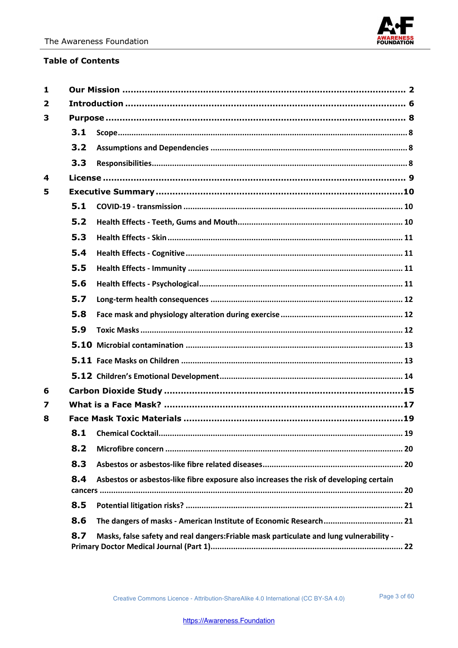

#### **Table of Contents**

| $\mathbf{1}$ |     |                                                                                         |  |  |
|--------------|-----|-----------------------------------------------------------------------------------------|--|--|
| $\mathbf{2}$ |     |                                                                                         |  |  |
| 3            |     |                                                                                         |  |  |
|              | 3.1 |                                                                                         |  |  |
|              | 3.2 |                                                                                         |  |  |
|              | 3.3 |                                                                                         |  |  |
| 4            |     |                                                                                         |  |  |
| 5            |     |                                                                                         |  |  |
|              | 5.1 |                                                                                         |  |  |
|              | 5.2 |                                                                                         |  |  |
|              | 5.3 |                                                                                         |  |  |
|              | 5.4 |                                                                                         |  |  |
|              | 5.5 |                                                                                         |  |  |
|              | 5.6 |                                                                                         |  |  |
|              | 5.7 |                                                                                         |  |  |
|              | 5.8 |                                                                                         |  |  |
|              | 5.9 |                                                                                         |  |  |
|              |     |                                                                                         |  |  |
|              |     |                                                                                         |  |  |
|              |     |                                                                                         |  |  |
| 6            |     |                                                                                         |  |  |
| 7            |     |                                                                                         |  |  |
| 8            |     |                                                                                         |  |  |
|              | 8.1 |                                                                                         |  |  |
|              | 8.2 |                                                                                         |  |  |
|              | 8.3 |                                                                                         |  |  |
|              | 8.4 | Asbestos or asbestos-like fibre exposure also increases the risk of developing certain  |  |  |
|              | 8.5 |                                                                                         |  |  |
|              | 8.6 | The dangers of masks - American Institute of Economic Research 21                       |  |  |
|              | 8.7 | Masks, false safety and real dangers: Friable mask particulate and lung vulnerability - |  |  |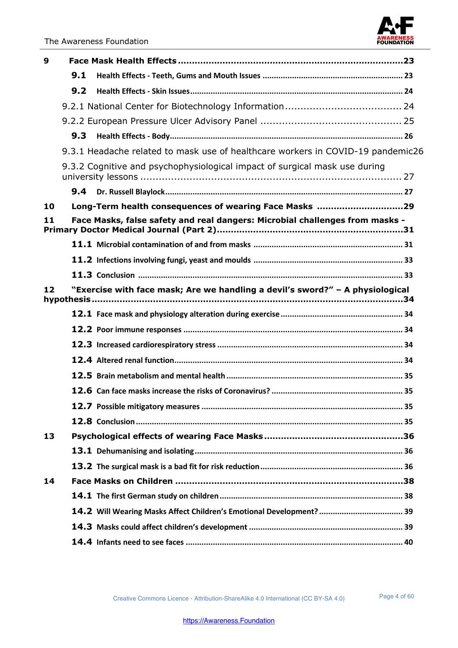

| 9  |     |                                                                                 |  |
|----|-----|---------------------------------------------------------------------------------|--|
|    | 9.1 |                                                                                 |  |
|    | 9.2 |                                                                                 |  |
|    |     |                                                                                 |  |
|    |     |                                                                                 |  |
|    | 9.3 |                                                                                 |  |
|    |     | 9.3.1 Headache related to mask use of healthcare workers in COVID-19 pandemic26 |  |
|    |     | 9.3.2 Cognitive and psychophysiological impact of surgical mask use during      |  |
|    | 9.4 |                                                                                 |  |
| 10 |     | Long-Term health consequences of wearing Face Masks 29                          |  |
| 11 |     | Face Masks, false safety and real dangers: Microbial challenges from masks -    |  |
|    |     |                                                                                 |  |
|    |     |                                                                                 |  |
|    |     |                                                                                 |  |
| 12 |     | "Exercise with face mask; Are we handling a devil's sword?" - A physiological   |  |
|    |     |                                                                                 |  |
|    |     |                                                                                 |  |
|    |     |                                                                                 |  |
|    |     |                                                                                 |  |
|    |     |                                                                                 |  |
|    |     |                                                                                 |  |
|    |     |                                                                                 |  |
|    |     |                                                                                 |  |
| 13 |     |                                                                                 |  |
|    |     |                                                                                 |  |
|    |     |                                                                                 |  |
| 14 |     |                                                                                 |  |
|    |     |                                                                                 |  |
|    |     | 14.2 Will Wearing Masks Affect Children's Emotional Development?  39            |  |
|    |     |                                                                                 |  |
|    |     |                                                                                 |  |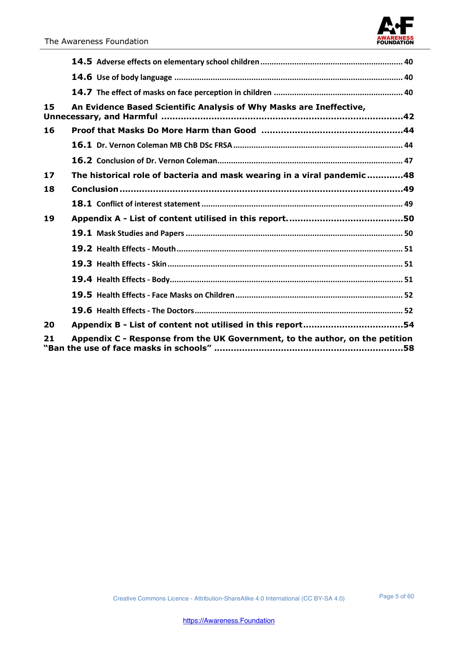| 15 | An Evidence Based Scientific Analysis of Why Masks are Ineffective,                                                                             |  |
|----|-------------------------------------------------------------------------------------------------------------------------------------------------|--|
| 16 |                                                                                                                                                 |  |
|    |                                                                                                                                                 |  |
|    |                                                                                                                                                 |  |
| 17 | The historical role of bacteria and mask wearing in a viral pandemic48                                                                          |  |
| 18 |                                                                                                                                                 |  |
|    |                                                                                                                                                 |  |
| 19 |                                                                                                                                                 |  |
|    |                                                                                                                                                 |  |
|    |                                                                                                                                                 |  |
|    |                                                                                                                                                 |  |
|    |                                                                                                                                                 |  |
|    |                                                                                                                                                 |  |
|    |                                                                                                                                                 |  |
| 20 |                                                                                                                                                 |  |
| 21 | Appendix C - Response from the UK Government, to the author, on the petition<br>"Ban the use of face masks in schools" …………………………………………………………58 |  |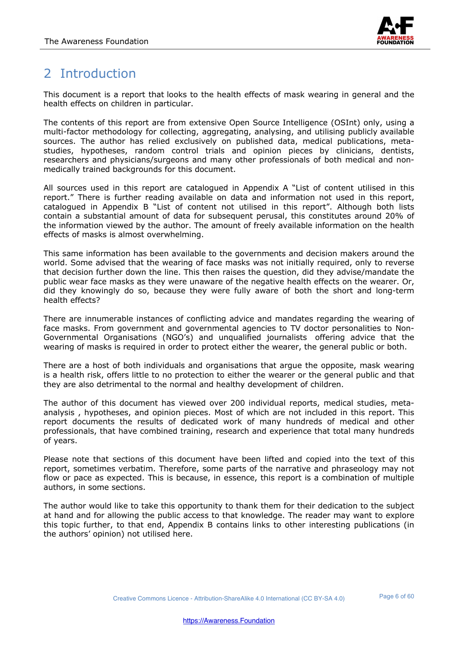

# 2 Introduction

This document is a report that looks to the health effects of mask wearing in general and the health effects on children in particular.

The contents of this report are from extensive Open Source Intelligence (OSInt) only, using a multi-factor methodology for collecting, aggregating, analysing, and utilising publicly available sources. The author has relied exclusively on published data, medical publications, metastudies, hypotheses, random control trials and opinion pieces by clinicians, dentists, researchers and physicians/surgeons and many other professionals of both medical and nonmedically trained backgrounds for this document.

All sources used in this report are catalogued in Appendix A "List of content utilised in this report." There is further reading available on data and information not used in this report, catalogued in Appendix B "List of content not utilised in this report". Although both lists contain a substantial amount of data for subsequent perusal, this constitutes around 20% of the information viewed by the author. The amount of freely available information on the health effects of masks is almost overwhelming.

This same information has been available to the governments and decision makers around the world. Some advised that the wearing of face masks was not initially required, only to reverse that decision further down the line. This then raises the question, did they advise/mandate the public wear face masks as they were unaware of the negative health effects on the wearer. Or, did they knowingly do so, because they were fully aware of both the short and long-term health effects?

There are innumerable instances of conflicting advice and mandates regarding the wearing of face masks. From government and governmental agencies to TV doctor personalities to Non-Governmental Organisations (NGO's) and unqualified journalists offering advice that the wearing of masks is required in order to protect either the wearer, the general public or both.

There are a host of both individuals and organisations that argue the opposite, mask wearing is a health risk, offers little to no protection to either the wearer or the general public and that they are also detrimental to the normal and healthy development of children.

The author of this document has viewed over 200 individual reports, medical studies, metaanalysis , hypotheses, and opinion pieces. Most of which are not included in this report. This report documents the results of dedicated work of many hundreds of medical and other professionals, that have combined training, research and experience that total many hundreds of years.

Please note that sections of this document have been lifted and copied into the text of this report, sometimes verbatim. Therefore, some parts of the narrative and phraseology may not flow or pace as expected. This is because, in essence, this report is a combination of multiple authors, in some sections.

The author would like to take this opportunity to thank them for their dedication to the subject at hand and for allowing the public access to that knowledge. The reader may want to explore this topic further, to that end, Appendix B contains links to other interesting publications (in the authors' opinion) not utilised here.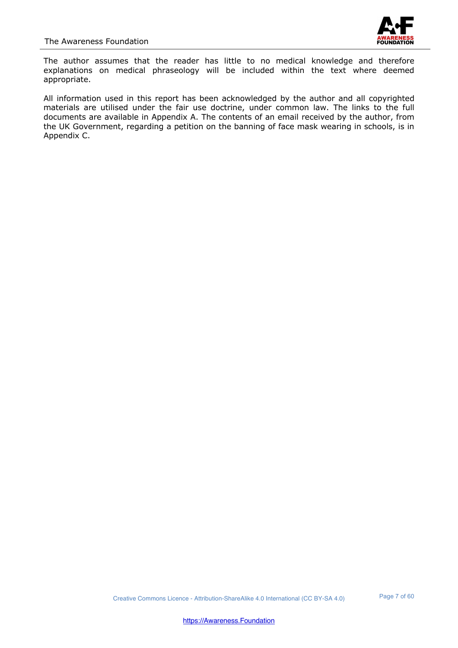

The author assumes that the reader has little to no medical knowledge and therefore explanations on medical phraseology will be included within the text where deemed appropriate.

All information used in this report has been acknowledged by the author and all copyrighted materials are utilised under the fair use doctrine, under common law. The links to the full documents are available in Appendix A. The contents of an email received by the author, from the UK Government, regarding a petition on the banning of face mask wearing in schools, is in Appendix C.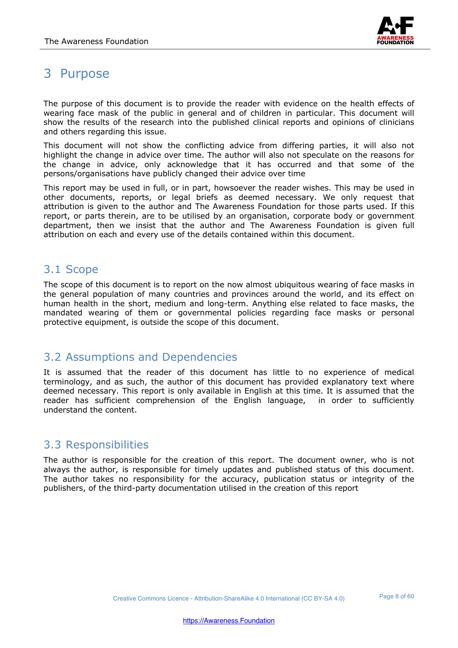

## 3 Purpose

The purpose of this document is to provide the reader with evidence on the health effects of wearing face mask of the public in general and of children in particular. This document will show the results of the research into the published clinical reports and opinions of clinicians and others regarding this issue.

This document will not show the conflicting advice from differing parties, it will also not highlight the change in advice over time. The author will also not speculate on the reasons for the change in advice, only acknowledge that it has occurred and that some of the persons/organisations have publicly changed their advice over time

This report may be used in full, or in part, howsoever the reader wishes. This may be used in other documents, reports, or legal briefs as deemed necessary. We only request that attribution is given to the author and The Awareness Foundation for those parts used. If this report, or parts therein, are to be utilised by an organisation, corporate body or government department, then we insist that the author and The Awareness Foundation is given full attribution on each and every use of the details contained within this document.

#### 3.1 Scope

The scope of this document is to report on the now almost ubiquitous wearing of face masks in the general population of many countries and provinces around the world, and its effect on human health in the short, medium and long-term. Anything else related to face masks, the mandated wearing of them or governmental policies regarding face masks or personal protective equipment, is outside the scope of this document.

#### 3.2 Assumptions and Dependencies

It is assumed that the reader of this document has little to no experience of medical terminology, and as such, the author of this document has provided explanatory text where deemed necessary. This report is only available in English at this time. It is assumed that the reader has sufficient comprehension of the English language, in order to sufficiently understand the content.

#### 3.3 Responsibilities

The author is responsible for the creation of this report. The document owner, who is not always the author, is responsible for timely updates and published status of this document. The author takes no responsibility for the accuracy, publication status or integrity of the publishers, of the third-party documentation utilised in the creation of this report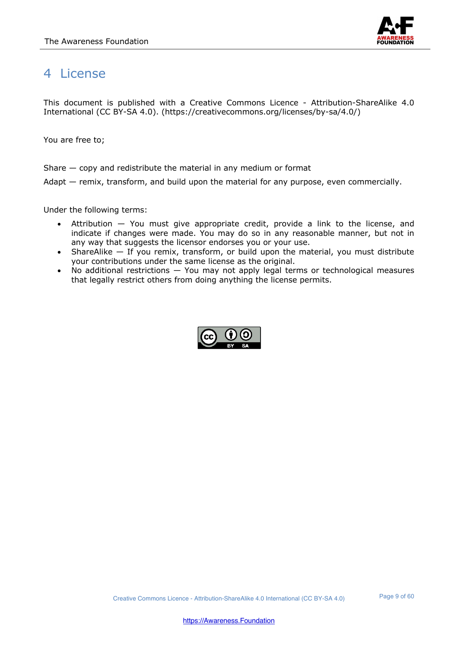

## 4 License

This document is published with a Creative Commons Licence - Attribution-ShareAlike 4.0 International (CC BY-SA 4.0). (https://creativecommons.org/licenses/by-sa/4.0/)

You are free to;

Share — copy and redistribute the material in any medium or format

Adapt — remix, transform, and build upon the material for any purpose, even commercially.

Under the following terms:

- Attribution You must give appropriate credit, provide a link to the license, and indicate if changes were made. You may do so in any reasonable manner, but not in any way that suggests the licensor endorses you or your use.
- ShareAlike  $-$  If you remix, transform, or build upon the material, you must distribute your contributions under the same license as the original.
- No additional restrictions You may not apply legal terms or technological measures that legally restrict others from doing anything the license permits.

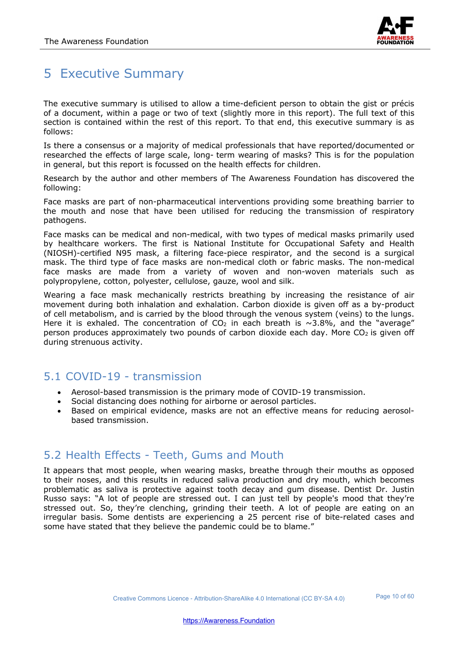

## 5 Executive Summary

The executive summary is utilised to allow a time-deficient person to obtain the gist or précis of a document, within a page or two of text (slightly more in this report). The full text of this section is contained within the rest of this report. To that end, this executive summary is as follows:

Is there a consensus or a majority of medical professionals that have reported/documented or researched the effects of large scale, long- term wearing of masks? This is for the population in general, but this report is focussed on the health effects for children.

Research by the author and other members of The Awareness Foundation has discovered the following:

Face masks are part of non-pharmaceutical interventions providing some breathing barrier to the mouth and nose that have been utilised for reducing the transmission of respiratory pathogens.

Face masks can be medical and non-medical, with two types of medical masks primarily used by healthcare workers. The first is National Institute for Occupational Safety and Health (NIOSH)-certified N95 mask, a filtering face-piece respirator, and the second is a surgical mask. The third type of face masks are non-medical cloth or fabric masks. The non-medical face masks are made from a variety of woven and non-woven materials such as polypropylene, cotton, polyester, cellulose, gauze, wool and silk.

Wearing a face mask mechanically restricts breathing by increasing the resistance of air movement during both inhalation and exhalation. Carbon dioxide is given off as a by-product of cell metabolism, and is carried by the blood through the venous system (veins) to the lungs. Here it is exhaled. The concentration of  $CO<sub>2</sub>$  in each breath is ~3.8%, and the "average" person produces approximately two pounds of carbon dioxide each day. More  $CO<sub>2</sub>$  is given off during strenuous activity.

## 5.1 COVID-19 - transmission

- Aerosol-based transmission is the primary mode of COVID-19 transmission.
- Social distancing does nothing for airborne or aerosol particles.
- Based on empirical evidence, masks are not an effective means for reducing aerosolbased transmission.

#### 5.2 Health Effects - Teeth, Gums and Mouth

It appears that most people, when wearing masks, breathe through their mouths as opposed to their noses, and this results in reduced saliva production and dry mouth, which becomes problematic as saliva is protective against tooth decay and gum disease. Dentist Dr. Justin Russo says: "A lot of people are stressed out. I can just tell by people's mood that they're stressed out. So, they're clenching, grinding their teeth. A lot of people are eating on an irregular basis. Some dentists are experiencing a 25 percent rise of bite-related cases and some have stated that they believe the pandemic could be to blame."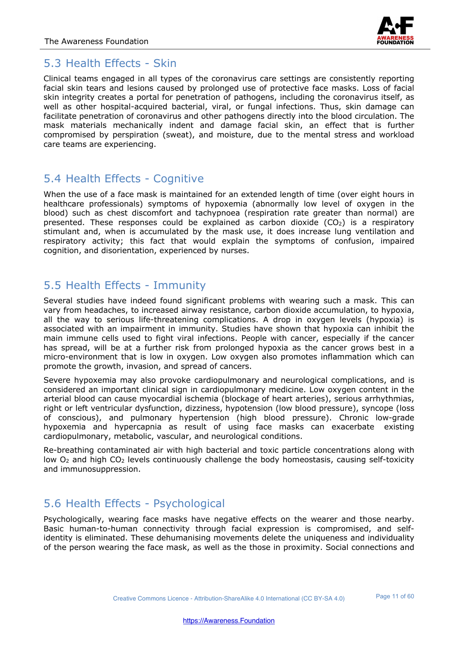

#### 5.3 Health Effects - Skin

Clinical teams engaged in all types of the coronavirus care settings are consistently reporting facial skin tears and lesions caused by prolonged use of protective face masks. Loss of facial skin integrity creates a portal for penetration of pathogens, including the coronavirus itself, as well as other hospital-acquired bacterial, viral, or fungal infections. Thus, skin damage can facilitate penetration of coronavirus and other pathogens directly into the blood circulation. The mask materials mechanically indent and damage facial skin, an effect that is further compromised by perspiration (sweat), and moisture, due to the mental stress and workload care teams are experiencing.

#### 5.4 Health Effects - Cognitive

When the use of a face mask is maintained for an extended length of time (over eight hours in healthcare professionals) symptoms of hypoxemia (abnormally low level of oxygen in the blood) such as chest discomfort and tachypnoea (respiration rate greater than normal) are presented. These responses could be explained as carbon dioxide  $(CO<sub>2</sub>)$  is a respiratory stimulant and, when is accumulated by the mask use, it does increase lung ventilation and respiratory activity; this fact that would explain the symptoms of confusion, impaired cognition, and disorientation, experienced by nurses.

#### 5.5 Health Effects - Immunity

Several studies have indeed found significant problems with wearing such a mask. This can vary from headaches, to increased airway resistance, carbon dioxide accumulation, to hypoxia, all the way to serious life-threatening complications. A drop in oxygen levels (hypoxia) is associated with an impairment in immunity. Studies have shown that hypoxia can inhibit the main immune cells used to fight viral infections. People with cancer, especially if the cancer has spread, will be at a further risk from prolonged hypoxia as the cancer grows best in a micro-environment that is low in oxygen. Low oxygen also promotes inflammation which can promote the growth, invasion, and spread of cancers.

Severe hypoxemia may also provoke cardiopulmonary and neurological complications, and is considered an important clinical sign in cardiopulmonary medicine. Low oxygen content in the arterial blood can cause myocardial ischemia (blockage of heart arteries), serious arrhythmias, right or left ventricular dysfunction, dizziness, hypotension (low blood pressure), syncope (loss of conscious), and pulmonary hypertension (high blood pressure). Chronic low-grade hypoxemia and hypercapnia as result of using face masks can exacerbate existing cardiopulmonary, metabolic, vascular, and neurological conditions.

Re-breathing contaminated air with high bacterial and toxic particle concentrations along with low O<sub>2</sub> and high CO<sub>2</sub> levels continuously challenge the body homeostasis, causing self-toxicity and immunosuppression.

## 5.6 Health Effects - Psychological

Psychologically, wearing face masks have negative effects on the wearer and those nearby. Basic human-to-human connectivity through facial expression is compromised, and selfidentity is eliminated. These dehumanising movements delete the uniqueness and individuality of the person wearing the face mask, as well as the those in proximity. Social connections and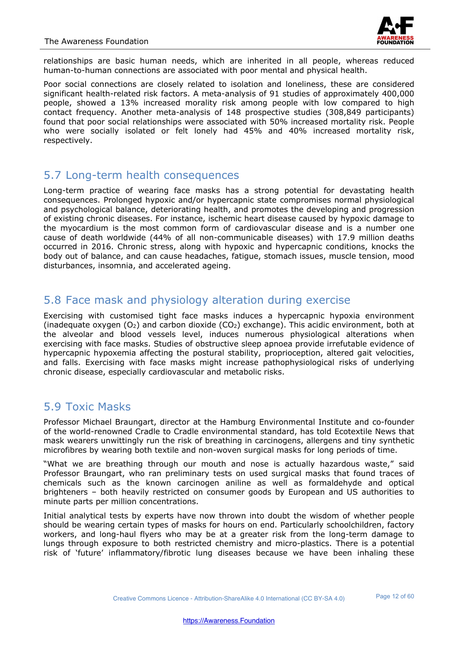

relationships are basic human needs, which are inherited in all people, whereas reduced human-to-human connections are associated with poor mental and physical health.

Poor social connections are closely related to isolation and loneliness, these are considered significant health-related risk factors. A meta-analysis of 91 studies of approximately 400,000 people, showed a 13% increased morality risk among people with low compared to high contact frequency. Another meta-analysis of 148 prospective studies (308,849 participants) found that poor social relationships were associated with 50% increased mortality risk. People who were socially isolated or felt lonely had 45% and 40% increased mortality risk, respectively.

#### 5.7 Long-term health consequences

Long-term practice of wearing face masks has a strong potential for devastating health consequences. Prolonged hypoxic and/or hypercapnic state compromises normal physiological and psychological balance, deteriorating health, and promotes the developing and progression of existing chronic diseases. For instance, ischemic heart disease caused by hypoxic damage to the myocardium is the most common form of cardiovascular disease and is a number one cause of death worldwide (44% of all non-communicable diseases) with 17.9 million deaths occurred in 2016. Chronic stress, along with hypoxic and hypercapnic conditions, knocks the body out of balance, and can cause headaches, fatigue, stomach issues, muscle tension, mood disturbances, insomnia, and accelerated ageing.

#### 5.8 Face mask and physiology alteration during exercise

Exercising with customised tight face masks induces a hypercapnic hypoxia environment (inadequate oxygen  $(O_2)$  and carbon dioxide  $(CO_2)$  exchange). This acidic environment, both at the alveolar and blood vessels level, induces numerous physiological alterations when exercising with face masks. Studies of obstructive sleep apnoea provide irrefutable evidence of hypercapnic hypoxemia affecting the postural stability, proprioception, altered gait velocities, and falls. Exercising with face masks might increase pathophysiological risks of underlying chronic disease, especially cardiovascular and metabolic risks.

#### 5.9 Toxic Masks

Professor Michael Braungart, director at the Hamburg Environmental Institute and co-founder of the world-renowned Cradle to Cradle environmental standard, has told Ecotextile News that mask wearers unwittingly run the risk of breathing in carcinogens, allergens and tiny synthetic microfibres by wearing both textile and non-woven surgical masks for long periods of time.

"What we are breathing through our mouth and nose is actually hazardous waste," said Professor Braungart, who ran preliminary tests on used surgical masks that found traces of chemicals such as the known carcinogen aniline as well as formaldehyde and optical brighteners – both heavily restricted on consumer goods by European and US authorities to minute parts per million concentrations.

Initial analytical tests by experts have now thrown into doubt the wisdom of whether people should be wearing certain types of masks for hours on end. Particularly schoolchildren, factory workers, and long-haul flyers who may be at a greater risk from the long-term damage to lungs through exposure to both restricted chemistry and micro-plastics. There is a potential risk of 'future' inflammatory/fibrotic lung diseases because we have been inhaling these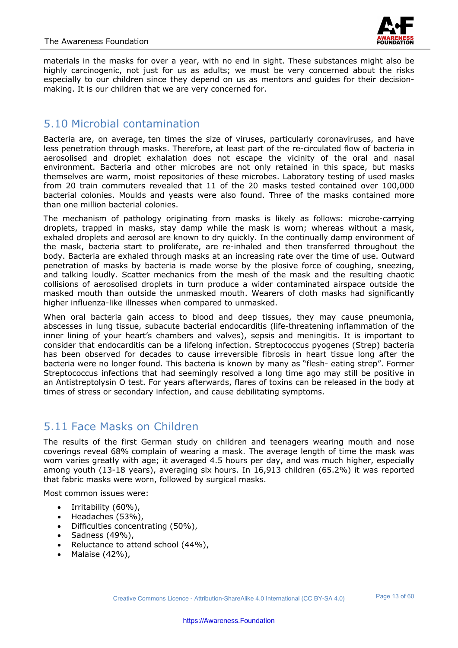

materials in the masks for over a year, with no end in sight. These substances might also be highly carcinogenic, not just for us as adults; we must be very concerned about the risks especially to our children since they depend on us as mentors and guides for their decisionmaking. It is our children that we are very concerned for.

#### 5.10 Microbial contamination

Bacteria are, on average, ten times the size of viruses, particularly coronaviruses, and have less penetration through masks. Therefore, at least part of the re-circulated flow of bacteria in aerosolised and droplet exhalation does not escape the vicinity of the oral and nasal environment. Bacteria and other microbes are not only retained in this space, but masks themselves are warm, moist repositories of these microbes. Laboratory testing of used masks from 20 train commuters revealed that 11 of the 20 masks tested contained over 100,000 bacterial colonies. Moulds and yeasts were also found. Three of the masks contained more than one million bacterial colonies.

The mechanism of pathology originating from masks is likely as follows: microbe-carrying droplets, trapped in masks, stay damp while the mask is worn; whereas without a mask, exhaled droplets and aerosol are known to dry quickly. In the continually damp environment of the mask, bacteria start to proliferate, are re-inhaled and then transferred throughout the body. Bacteria are exhaled through masks at an increasing rate over the time of use. Outward penetration of masks by bacteria is made worse by the plosive force of coughing, sneezing, and talking loudly. Scatter mechanics from the mesh of the mask and the resulting chaotic collisions of aerosolised droplets in turn produce a wider contaminated airspace outside the masked mouth than outside the unmasked mouth. Wearers of cloth masks had significantly higher influenza-like illnesses when compared to unmasked.

When oral bacteria gain access to blood and deep tissues, they may cause pneumonia, abscesses in lung tissue, subacute bacterial endocarditis (life-threatening inflammation of the inner lining of your heart's chambers and valves), sepsis and meningitis. It is important to consider that endocarditis can be a lifelong infection. Streptococcus pyogenes (Strep) bacteria has been observed for decades to cause irreversible fibrosis in heart tissue long after the bacteria were no longer found. This bacteria is known by many as "flesh- eating strep". Former Streptococcus infections that had seemingly resolved a long time ago may still be positive in an Antistreptolysin O test. For years afterwards, flares of toxins can be released in the body at times of stress or secondary infection, and cause debilitating symptoms.

## 5.11 Face Masks on Children

The results of the first German study on children and teenagers wearing mouth and nose coverings reveal 68% complain of wearing a mask. The average length of time the mask was worn varies greatly with age; it averaged 4.5 hours per day, and was much higher, especially among youth (13-18 years), averaging six hours. In 16,913 children (65.2%) it was reported that fabric masks were worn, followed by surgical masks.

Most common issues were:

- Irritability (60%),
- Headaches (53%),
- Difficulties concentrating (50%),
- $\bullet$  Sadness (49%),
- Reluctance to attend school (44%),
- Malaise (42%),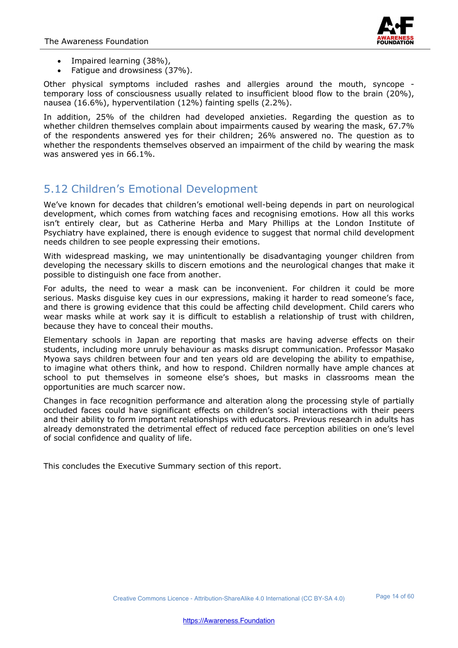

- Impaired learning (38%),
- Fatigue and drowsiness (37%).

Other physical symptoms included rashes and allergies around the mouth, syncope temporary loss of consciousness usually related to insufficient blood flow to the brain (20%), nausea (16.6%), hyperventilation (12%) fainting spells (2.2%).

In addition, 25% of the children had developed anxieties. Regarding the question as to whether children themselves complain about impairments caused by wearing the mask, 67.7% of the respondents answered yes for their children; 26% answered no. The question as to whether the respondents themselves observed an impairment of the child by wearing the mask was answered yes in 66.1%.

## 5.12 Children's Emotional Development

We've known for decades that children's emotional well-being depends in part on neurological development, which comes from watching faces and recognising emotions. How all this works isn't entirely clear, but as Catherine Herba and Mary Phillips at the London Institute of Psychiatry have explained, there is enough evidence to suggest that normal child development needs children to see people expressing their emotions.

With widespread masking, we may unintentionally be disadvantaging younger children from developing the necessary skills to discern emotions and the neurological changes that make it possible to distinguish one face from another.

For adults, the need to wear a mask can be inconvenient. For children it could be more serious. Masks disguise key cues in our expressions, making it harder to read someone's face, and there is growing evidence that this could be affecting child development. Child carers who wear masks while at work say it is difficult to establish a relationship of trust with children, because they have to conceal their mouths.

Elementary schools in Japan are reporting that masks are having adverse effects on their students, including more unruly behaviour as masks disrupt communication. Professor Masako Myowa says children between four and ten years old are developing the ability to empathise, to imagine what others think, and how to respond. Children normally have ample chances at school to put themselves in someone else's shoes, but masks in classrooms mean the opportunities are much scarcer now.

Changes in face recognition performance and alteration along the processing style of partially occluded faces could have significant effects on children's social interactions with their peers and their ability to form important relationships with educators. Previous research in adults has already demonstrated the detrimental effect of reduced face perception abilities on one's level of social confidence and quality of life.

This concludes the Executive Summary section of this report.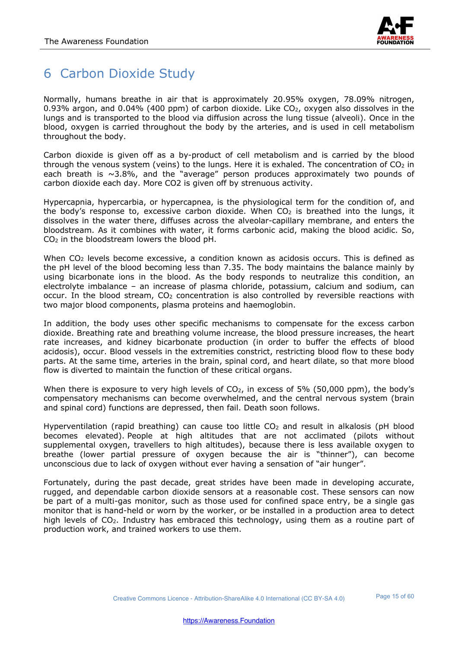

## 6 Carbon Dioxide Study

Normally, humans breathe in air that is approximately 20.95% oxygen, 78.09% nitrogen, 0.93% argon, and 0.04% (400 ppm) of carbon dioxide. Like  $CO<sub>2</sub>$ , oxygen also dissolves in the lungs and is transported to the blood via diffusion across the lung tissue (alveoli). Once in the blood, oxygen is carried throughout the body by the arteries, and is used in cell metabolism throughout the body.

Carbon dioxide is given off as a by-product of cell metabolism and is carried by the blood through the venous system (veins) to the lungs. Here it is exhaled. The concentration of  $CO<sub>2</sub>$  in each breath is  $\sim$ 3.8%, and the "average" person produces approximately two pounds of carbon dioxide each day. More CO2 is given off by strenuous activity.

Hypercapnia, hypercarbia, or hypercapnea, is the physiological term for the condition of, and the body's response to, excessive carbon dioxide. When  $CO<sub>2</sub>$  is breathed into the lungs, it dissolves in the water there, diffuses across the alveolar-capillary membrane, and enters the bloodstream. As it combines with water, it forms carbonic acid, making the blood acidic. So, CO2 in the bloodstream lowers the blood pH.

When CO<sub>2</sub> levels become excessive, a condition known as acidosis occurs. This is defined as the pH level of the blood becoming less than 7.35. The body maintains the balance mainly by using bicarbonate ions in the blood. As the body responds to neutralize this condition, an electrolyte imbalance – an increase of plasma chloride, potassium, calcium and sodium, can occur. In the blood stream,  $CO<sub>2</sub>$  concentration is also controlled by reversible reactions with two major blood components, plasma proteins and haemoglobin.

In addition, the body uses other specific mechanisms to compensate for the excess carbon dioxide. Breathing rate and breathing volume increase, the blood pressure increases, the heart rate increases, and kidney bicarbonate production (in order to buffer the effects of blood acidosis), occur. Blood vessels in the extremities constrict, restricting blood flow to these body parts. At the same time, arteries in the brain, spinal cord, and heart dilate, so that more blood flow is diverted to maintain the function of these critical organs.

When there is exposure to very high levels of  $CO<sub>2</sub>$ , in excess of 5% (50,000 ppm), the body's compensatory mechanisms can become overwhelmed, and the central nervous system (brain and spinal cord) functions are depressed, then fail. Death soon follows.

Hyperventilation (rapid breathing) can cause too little  $CO<sub>2</sub>$  and result in alkalosis (pH blood becomes elevated). People at high altitudes that are not acclimated (pilots without supplemental oxygen, travellers to high altitudes), because there is less available oxygen to breathe (lower partial pressure of oxygen because the air is "thinner"), can become unconscious due to lack of oxygen without ever having a sensation of "air hunger".

Fortunately, during the past decade, great strides have been made in developing accurate, rugged, and dependable carbon dioxide sensors at a reasonable cost. These sensors can now be part of a multi-gas monitor, such as those used for confined space entry, be a single gas monitor that is hand-held or worn by the worker, or be installed in a production area to detect high levels of CO<sub>2</sub>. Industry has embraced this technology, using them as a routine part of production work, and trained workers to use them.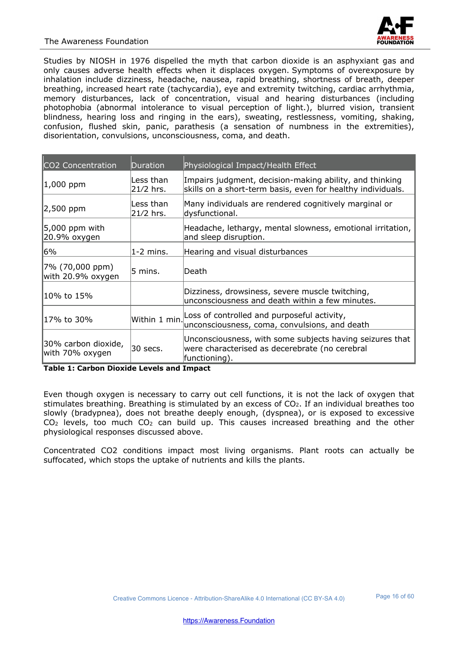Studies by NIOSH in 1976 dispelled the myth that carbon dioxide is an asphyxiant gas and only causes adverse health effects when it displaces oxygen. Symptoms of overexposure by inhalation include dizziness, headache, nausea, rapid breathing, shortness of breath, deeper breathing, increased heart rate (tachycardia), eye and extremity twitching, cardiac arrhythmia, memory disturbances, lack of concentration, visual and hearing disturbances (including photophobia (abnormal intolerance to visual perception of light.), blurred vision, transient blindness, hearing loss and ringing in the ears), sweating, restlessness, vomiting, shaking, confusion, flushed skin, panic, parathesis (a sensation of numbness in the extremities), disorientation, convulsions, unconsciousness, coma, and death.

| CO2 Concentration                      | <b>Duration</b>        | Physiological Impact/Health Effect                                                                                          |
|----------------------------------------|------------------------|-----------------------------------------------------------------------------------------------------------------------------|
| 1,000 ppm                              | Less than<br>21/2 hrs. | Impairs judgment, decision-making ability, and thinking<br>skills on a short-term basis, even for healthy individuals.      |
| $\vert$ 2,500 ppm                      | Less than<br>21/2 hrs. | Many individuals are rendered cognitively marginal or<br>dysfunctional.                                                     |
| $5,000$ ppm with<br>20.9% oxygen       |                        | Headache, lethargy, mental slowness, emotional irritation,<br>and sleep disruption.                                         |
| 6%                                     | $1-2$ mins.            | Hearing and visual disturbances                                                                                             |
| 7% (70,000 ppm)<br>with 20.9% oxygen   | 5 mins.                | lDeath                                                                                                                      |
| 10% to 15%                             |                        | Dizziness, drowsiness, severe muscle twitching,<br>unconsciousness and death within a few minutes.                          |
| 17% to 30%                             | Within 1 min.          | Loss of controlled and purposeful activity,<br>unconsciousness, coma, convulsions, and death                                |
| 30% carbon dioxide,<br>with 70% oxygen | 30 secs.               | Unconsciousness, with some subjects having seizures that<br>were characterised as decerebrate (no cerebral<br>functioning). |

**Table 1: Carbon Dioxide Levels and Impact**

Even though oxygen is necessary to carry out cell functions, it is not the lack of oxygen that stimulates breathing. Breathing is stimulated by an excess of CO2. If an individual breathes too slowly (bradypnea), does not breathe deeply enough, (dyspnea), or is exposed to excessive  $CO<sub>2</sub>$  levels, too much  $CO<sub>2</sub>$  can build up. This causes increased breathing and the other physiological responses discussed above.

Concentrated CO2 conditions impact most living organisms. Plant roots can actually be suffocated, which stops the uptake of nutrients and kills the plants.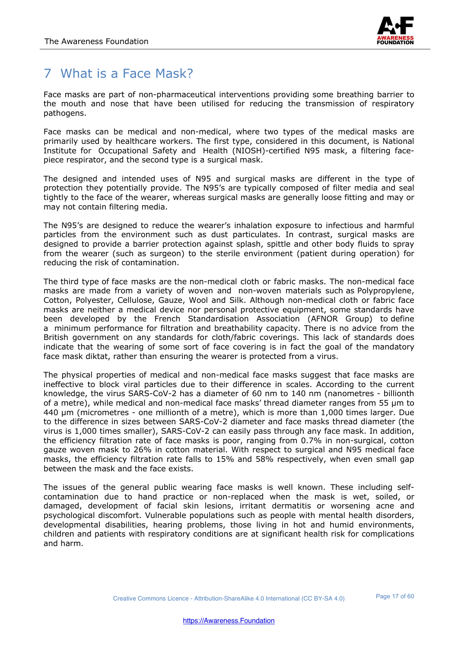

## 7 What is a Face Mask?

Face masks are part of non-pharmaceutical interventions providing some breathing barrier to the mouth and nose that have been utilised for reducing the transmission of respiratory pathogens.

Face masks can be medical and non-medical, where two types of the medical masks are primarily used by healthcare workers. The first type, considered in this document, is National Institute for Occupational Safety and Health (NIOSH)-certified N95 mask, a filtering facepiece respirator, and the second type is a surgical mask.

The designed and intended uses of N95 and surgical masks are different in the type of protection they potentially provide. The N95's are typically composed of filter media and seal tightly to the face of the wearer, whereas surgical masks are generally loose fitting and may or may not contain filtering media.

The N95's are designed to reduce the wearer's inhalation exposure to infectious and harmful particles from the environment such as dust particulates. In contrast, surgical masks are designed to provide a barrier protection against splash, spittle and other body fluids to spray from the wearer (such as surgeon) to the sterile environment (patient during operation) for reducing the risk of contamination.

The third type of face masks are the non-medical cloth or fabric masks. The non-medical face masks are made from a variety of woven and non-woven materials such as Polypropylene, Cotton, Polyester, Cellulose, Gauze, Wool and Silk. Although non-medical cloth or fabric face masks are neither a medical device nor personal protective equipment, some standards have been developed by the French Standardisation Association (AFNOR Group) to define a minimum performance for filtration and breathability capacity. There is no advice from the British government on any standards for cloth/fabric coverings. This lack of standards does indicate that the wearing of some sort of face covering is in fact the goal of the mandatory face mask diktat, rather than ensuring the wearer is protected from a virus.

The physical properties of medical and non-medical face masks suggest that face masks are ineffective to block viral particles due to their difference in scales. According to the current knowledge, the virus SARS-CoV-2 has a diameter of 60 nm to 140 nm (nanometres - billionth of a metre), while medical and non-medical face masks' thread diameter ranges from 55 µm to 440 µm (micrometres - one millionth of a metre), which is more than 1,000 times larger. Due to the difference in sizes between SARS-CoV-2 diameter and face masks thread diameter (the virus is 1,000 times smaller), SARS-CoV-2 can easily pass through any face mask. In addition, the efficiency filtration rate of face masks is poor, ranging from 0.7% in non-surgical, cotton gauze woven mask to 26% in cotton material. With respect to surgical and N95 medical face masks, the efficiency filtration rate falls to 15% and 58% respectively, when even small gap between the mask and the face exists.

The issues of the general public wearing face masks is well known. These including selfcontamination due to hand practice or non-replaced when the mask is wet, soiled, or damaged, development of facial skin lesions, irritant dermatitis or worsening acne and psychological discomfort. Vulnerable populations such as people with mental health disorders, developmental disabilities, hearing problems, those living in hot and humid environments, children and patients with respiratory conditions are at significant health risk for complications and harm.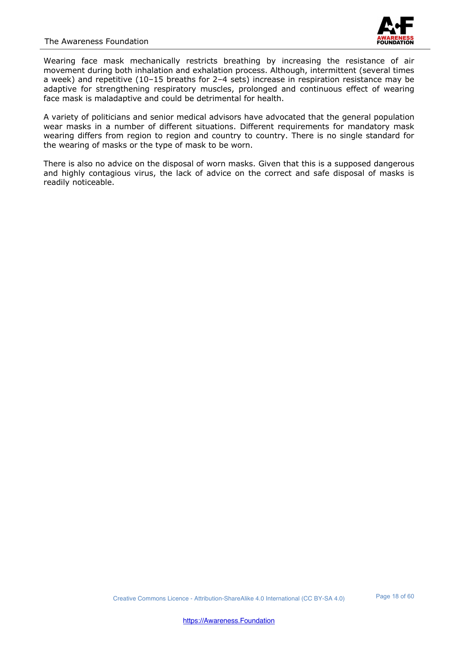

Wearing face mask mechanically restricts breathing by increasing the resistance of air movement during both inhalation and exhalation process. Although, intermittent (several times a week) and repetitive (10–15 breaths for 2–4 sets) increase in respiration resistance may be adaptive for strengthening respiratory muscles, prolonged and continuous effect of wearing face mask is maladaptive and could be detrimental for health.

A variety of politicians and senior medical advisors have advocated that the general population wear masks in a number of different situations. Different requirements for mandatory mask wearing differs from region to region and country to country. There is no single standard for the wearing of masks or the type of mask to be worn.

There is also no advice on the disposal of worn masks. Given that this is a supposed dangerous and highly contagious virus, the lack of advice on the correct and safe disposal of masks is readily noticeable.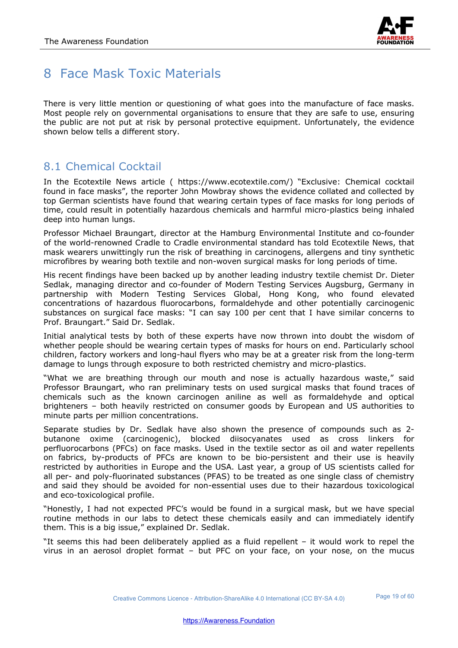

## 8 Face Mask Toxic Materials

There is very little mention or questioning of what goes into the manufacture of face masks. Most people rely on governmental organisations to ensure that they are safe to use, ensuring the public are not put at risk by personal protective equipment. Unfortunately, the evidence shown below tells a different story.

## 8.1 Chemical Cocktail

In the Ecotextile News article ( https://www.ecotextile.com/) "Exclusive: Chemical cocktail found in face masks", the reporter John Mowbray shows the evidence collated and collected by top German scientists have found that wearing certain types of face masks for long periods of time, could result in potentially hazardous chemicals and harmful micro-plastics being inhaled deep into human lungs.

Professor Michael Braungart, director at the Hamburg Environmental Institute and co-founder of the world-renowned Cradle to Cradle environmental standard has told Ecotextile News, that mask wearers unwittingly run the risk of breathing in carcinogens, allergens and tiny synthetic microfibres by wearing both textile and non-woven surgical masks for long periods of time.

His recent findings have been backed up by another leading industry textile chemist Dr. Dieter Sedlak, managing director and co-founder of Modern Testing Services Augsburg, Germany in partnership with Modern Testing Services Global, Hong Kong, who found elevated concentrations of hazardous fluorocarbons, formaldehyde and other potentially carcinogenic substances on surgical face masks: "I can say 100 per cent that I have similar concerns to Prof. Braungart." Said Dr. Sedlak.

Initial analytical tests by both of these experts have now thrown into doubt the wisdom of whether people should be wearing certain types of masks for hours on end. Particularly school children, factory workers and long-haul flyers who may be at a greater risk from the long-term damage to lungs through exposure to both restricted chemistry and micro-plastics.

"What we are breathing through our mouth and nose is actually hazardous waste," said Professor Braungart, who ran preliminary tests on used surgical masks that found traces of chemicals such as the known carcinogen aniline as well as formaldehyde and optical brighteners – both heavily restricted on consumer goods by European and US authorities to minute parts per million concentrations.

Separate studies by Dr. Sedlak have also shown the presence of compounds such as 2 butanone oxime (carcinogenic), blocked diisocyanates used as cross linkers for perfluorocarbons (PFCs) on face masks. Used in the textile sector as oil and water repellents on fabrics, by-products of PFCs are known to be bio-persistent and their use is heavily restricted by authorities in Europe and the USA. Last year, a group of US scientists called for all per- and poly-fluorinated substances (PFAS) to be treated as one single class of chemistry and said they should be avoided for non-essential uses due to their hazardous toxicological and eco-toxicological profile.

"Honestly, I had not expected PFC's would be found in a surgical mask, but we have special routine methods in our labs to detect these chemicals easily and can immediately identify them. This is a big issue," explained Dr. Sedlak.

"It seems this had been deliberately applied as a fluid repellent – it would work to repel the virus in an aerosol droplet format – but PFC on your face, on your nose, on the mucus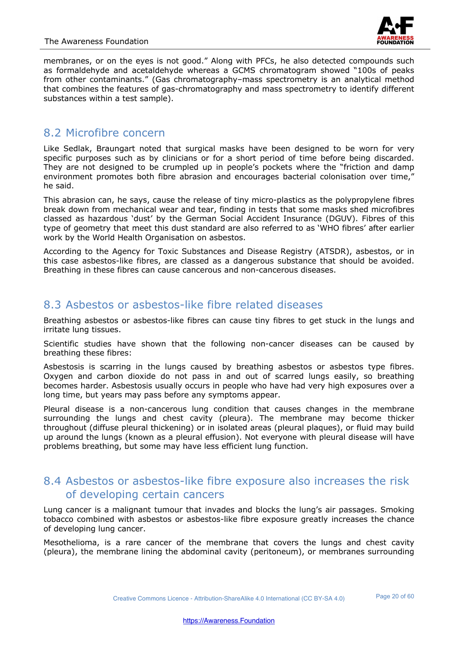

membranes, or on the eyes is not good." Along with PFCs, he also detected compounds such as formaldehyde and acetaldehyde whereas a GCMS chromatogram showed "100s of peaks from other contaminants." (Gas chromatography–mass spectrometry is an analytical method that combines the features of gas-chromatography and mass spectrometry to identify different substances within a test sample).

#### 8.2 Microfibre concern

Like Sedlak, Braungart noted that surgical masks have been designed to be worn for very specific purposes such as by clinicians or for a short period of time before being discarded. They are not designed to be crumpled up in people's pockets where the "friction and damp environment promotes both fibre abrasion and encourages bacterial colonisation over time," he said.

This abrasion can, he says, cause the release of tiny micro-plastics as the polypropylene fibres break down from mechanical wear and tear, finding in tests that some masks shed microfibres classed as hazardous 'dust' by the German Social Accident Insurance (DGUV). Fibres of this type of geometry that meet this dust standard are also referred to as 'WHO fibres' after earlier work by the World Health Organisation on asbestos.

According to the Agency for Toxic Substances and Disease Registry (ATSDR), asbestos, or in this case asbestos-like fibres, are classed as a dangerous substance that should be avoided. Breathing in these fibres can cause cancerous and non-cancerous diseases.

#### 8.3 Asbestos or asbestos-like fibre related diseases

Breathing asbestos or asbestos-like fibres can cause tiny fibres to get stuck in the lungs and irritate lung tissues.

Scientific studies have shown that the following non-cancer diseases can be caused by breathing these fibres:

Asbestosis is scarring in the lungs caused by breathing asbestos or asbestos type fibres. Oxygen and carbon dioxide do not pass in and out of scarred lungs easily, so breathing becomes harder. Asbestosis usually occurs in people who have had very high exposures over a long time, but years may pass before any symptoms appear.

Pleural disease is a non-cancerous lung condition that causes changes in the membrane surrounding the lungs and chest cavity (pleura). The membrane may become thicker throughout (diffuse pleural thickening) or in isolated areas (pleural plaques), or fluid may build up around the lungs (known as a pleural effusion). Not everyone with pleural disease will have problems breathing, but some may have less efficient lung function.

#### 8.4 Asbestos or asbestos-like fibre exposure also increases the risk of developing certain cancers

Lung cancer is a malignant tumour that invades and blocks the lung's air passages. Smoking tobacco combined with asbestos or asbestos-like fibre exposure greatly increases the chance of developing lung cancer.

Mesothelioma, is a rare cancer of the membrane that covers the lungs and chest cavity (pleura), the membrane lining the abdominal cavity (peritoneum), or membranes surrounding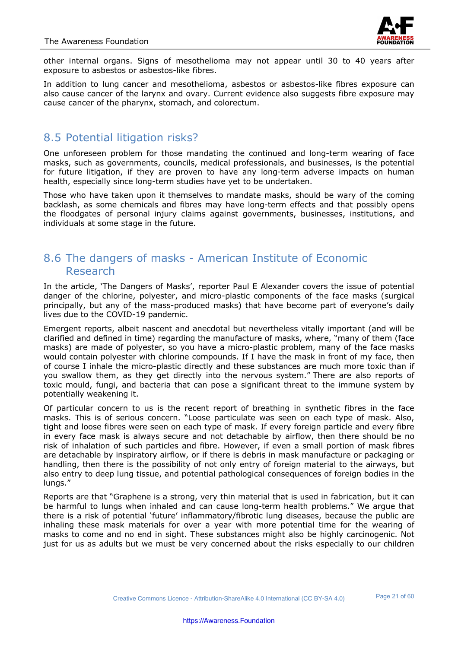

other internal organs. Signs of mesothelioma may not appear until 30 to 40 years after exposure to asbestos or asbestos-like fibres.

In addition to lung cancer and mesothelioma, asbestos or asbestos-like fibres exposure can also cause cancer of the larynx and ovary. Current evidence also suggests fibre exposure may cause cancer of the pharynx, stomach, and colorectum.

#### 8.5 Potential litigation risks?

One unforeseen problem for those mandating the continued and long-term wearing of face masks, such as governments, councils, medical professionals, and businesses, is the potential for future litigation, if they are proven to have any long-term adverse impacts on human health, especially since long-term studies have yet to be undertaken.

Those who have taken upon it themselves to mandate masks, should be wary of the coming backlash, as some chemicals and fibres may have long-term effects and that possibly opens the floodgates of personal injury claims against governments, businesses, institutions, and individuals at some stage in the future.

#### 8.6 The dangers of masks - American Institute of Economic Research

In the article, 'The Dangers of Masks', reporter Paul E Alexander covers the issue of potential danger of the chlorine, polyester, and micro-plastic components of the face masks (surgical principally, but any of the mass-produced masks) that have become part of everyone's daily lives due to the COVID-19 pandemic.

Emergent reports, albeit nascent and anecdotal but nevertheless vitally important (and will be clarified and defined in time) regarding the manufacture of masks, where, "many of them (face masks) are made of polyester, so you have a micro-plastic problem, many of the face masks would contain polyester with chlorine compounds. If I have the mask in front of my face, then of course I inhale the micro-plastic directly and these substances are much more toxic than if you swallow them, as they get directly into the nervous system." There are also reports of toxic mould, fungi, and bacteria that can pose a significant threat to the immune system by potentially weakening it.

Of particular concern to us is the recent report of breathing in synthetic fibres in the face masks. This is of serious concern. "Loose particulate was seen on each type of mask. Also, tight and loose fibres were seen on each type of mask. If every foreign particle and every fibre in every face mask is always secure and not detachable by airflow, then there should be no risk of inhalation of such particles and fibre. However, if even a small portion of mask fibres are detachable by inspiratory airflow, or if there is debris in mask manufacture or packaging or handling, then there is the possibility of not only entry of foreign material to the airways, but also entry to deep lung tissue, and potential pathological consequences of foreign bodies in the lungs."

Reports are that "Graphene is a strong, very thin material that is used in fabrication, but it can be harmful to lungs when inhaled and can cause long-term health problems." We argue that there is a risk of potential 'future' inflammatory/fibrotic lung diseases, because the public are inhaling these mask materials for over a year with more potential time for the wearing of masks to come and no end in sight. These substances might also be highly carcinogenic. Not just for us as adults but we must be very concerned about the risks especially to our children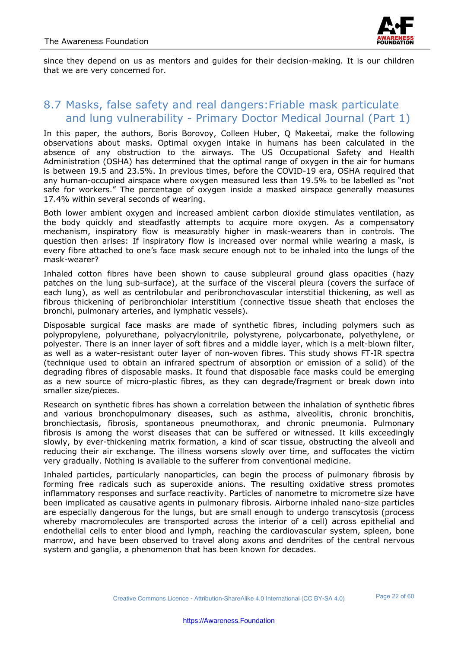

since they depend on us as mentors and guides for their decision-making. It is our children that we are very concerned for.

#### 8.7 Masks, false safety and real dangers:Friable mask particulate and lung vulnerability - Primary Doctor Medical Journal (Part 1)

In this paper, the authors, Boris Borovoy, Colleen Huber, Q Makeetai, make the following observations about masks. Optimal oxygen intake in humans has been calculated in the absence of any obstruction to the airways. The US Occupational Safety and Health Administration (OSHA) has determined that the optimal range of oxygen in the air for humans is between 19.5 and 23.5%. In previous times, before the COVID-19 era, OSHA required that any human-occupied airspace where oxygen measured less than 19.5% to be labelled as "not safe for workers." The percentage of oxygen inside a masked airspace generally measures 17.4% within several seconds of wearing.

Both lower ambient oxygen and increased ambient carbon dioxide stimulates ventilation, as the body quickly and steadfastly attempts to acquire more oxygen. As a compensatory mechanism, inspiratory flow is measurably higher in mask-wearers than in controls. The question then arises: If inspiratory flow is increased over normal while wearing a mask, is every fibre attached to one's face mask secure enough not to be inhaled into the lungs of the mask-wearer?

Inhaled cotton fibres have been shown to cause subpleural ground glass opacities (hazy patches on the lung sub-surface), at the surface of the visceral pleura (covers the surface of each lung), as well as centrilobular and peribronchovascular interstitial thickening, as well as fibrous thickening of peribronchiolar interstitium (connective tissue sheath that encloses the bronchi, pulmonary arteries, and lymphatic vessels).

Disposable surgical face masks are made of synthetic fibres, including polymers such as polypropylene, polyurethane, polyacrylonitrile, polystyrene, polycarbonate, polyethylene, or polyester. There is an inner layer of soft fibres and a middle layer, which is a melt-blown filter, as well as a water-resistant outer layer of non-woven fibres. This study shows FT-IR spectra (technique used to obtain an infrared spectrum of absorption or emission of a solid) of the degrading fibres of disposable masks. It found that disposable face masks could be emerging as a new source of micro-plastic fibres, as they can degrade/fragment or break down into smaller size/pieces.

Research on synthetic fibres has shown a correlation between the inhalation of synthetic fibres and various bronchopulmonary diseases, such as asthma, alveolitis, chronic bronchitis, bronchiectasis, fibrosis, spontaneous pneumothorax, and chronic pneumonia. Pulmonary fibrosis is among the worst diseases that can be suffered or witnessed. It kills exceedingly slowly, by ever-thickening matrix formation, a kind of scar tissue, obstructing the alveoli and reducing their air exchange. The illness worsens slowly over time, and suffocates the victim very gradually. Nothing is available to the sufferer from conventional medicine.

Inhaled particles, particularly nanoparticles, can begin the process of pulmonary fibrosis by forming free radicals such as superoxide anions. The resulting oxidative stress promotes inflammatory responses and surface reactivity. Particles of nanometre to micrometre size have been implicated as causative agents in pulmonary fibrosis. Airborne inhaled nano-size particles are especially dangerous for the lungs, but are small enough to undergo transcytosis (process whereby macromolecules are transported across the interior of a cell) across epithelial and endothelial cells to enter blood and lymph, reaching the cardiovascular system, spleen, bone marrow, and have been observed to travel along axons and dendrites of the central nervous system and ganglia, a phenomenon that has been known for decades.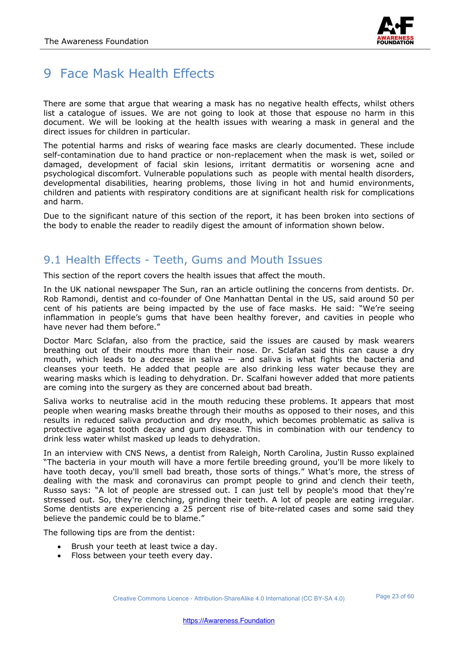

## 9 Face Mask Health Effects

There are some that argue that wearing a mask has no negative health effects, whilst others list a catalogue of issues. We are not going to look at those that espouse no harm in this document. We will be looking at the health issues with wearing a mask in general and the direct issues for children in particular.

The potential harms and risks of wearing face masks are clearly documented. These include self-contamination due to hand practice or non-replacement when the mask is wet, soiled or damaged, development of facial skin lesions, irritant dermatitis or worsening acne and psychological discomfort. Vulnerable populations such as people with mental health disorders, developmental disabilities, hearing problems, those living in hot and humid environments, children and patients with respiratory conditions are at significant health risk for complications and harm.

Due to the significant nature of this section of the report, it has been broken into sections of the body to enable the reader to readily digest the amount of information shown below.

#### 9.1 Health Effects - Teeth, Gums and Mouth Issues

This section of the report covers the health issues that affect the mouth.

In the UK national newspaper The Sun, ran an article outlining the concerns from dentists. Dr. Rob Ramondi, dentist and co-founder of One Manhattan Dental in the US, said around 50 per cent of his patients are being impacted by the use of face masks. He said: "We're seeing inflammation in people's gums that have been healthy forever, and cavities in people who have never had them before."

Doctor Marc Sclafan, also from the practice, said the issues are caused by mask wearers breathing out of their mouths more than their nose. Dr. Sclafan said this can cause a dry mouth, which leads to a decrease in saliva  $-$  and saliva is what fights the bacteria and cleanses your teeth. He added that people are also drinking less water because they are wearing masks which is leading to dehydration. Dr. Scalfani however added that more patients are coming into the surgery as they are concerned about bad breath.

Saliva works to neutralise acid in the mouth reducing these problems. It appears that most people when wearing masks breathe through their mouths as opposed to their noses, and this results in reduced saliva production and dry mouth, which becomes problematic as saliva is protective against tooth decay and gum disease. This in combination with our tendency to drink less water whilst masked up leads to dehydration.

In an interview with CNS News, a dentist from Raleigh, North Carolina, Justin Russo explained "The bacteria in your mouth will have a more fertile breeding ground, you'll be more likely to have tooth decay, you'll smell bad breath, those sorts of things." What's more, the stress of dealing with the mask and coronavirus can prompt people to grind and clench their teeth, Russo says: "A lot of people are stressed out. I can just tell by people's mood that they're stressed out. So, they're clenching, grinding their teeth. A lot of people are eating irregular. Some dentists are experiencing a 25 percent rise of bite-related cases and some said they believe the pandemic could be to blame."

The following tips are from the dentist:

- Brush your teeth at least twice a day.
- Floss between your teeth every day.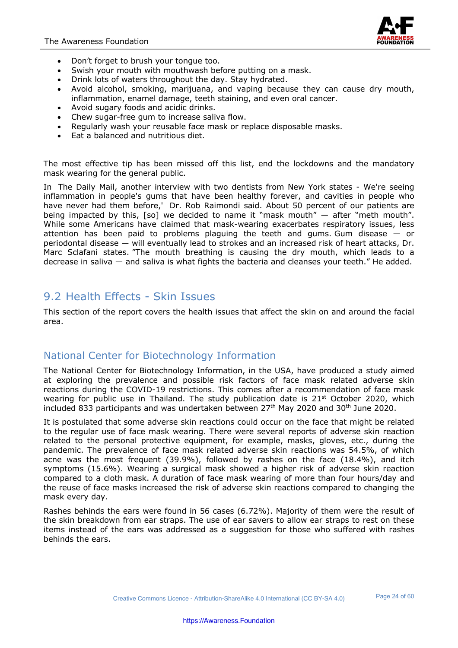

- Don't forget to brush your tongue too.
- Swish your mouth with mouthwash before putting on a mask.
- Drink lots of waters throughout the day. Stay hydrated.
- Avoid alcohol, smoking, marijuana, and vaping because they can cause dry mouth, inflammation, enamel damage, teeth staining, and even oral cancer.
- Avoid sugary foods and acidic drinks.
- Chew sugar-free gum to increase saliva flow.
- Regularly wash your reusable face mask or replace disposable masks.
- Eat a balanced and nutritious diet.

The most effective tip has been missed off this list, end the lockdowns and the mandatory mask wearing for the general public.

In The Daily Mail, another interview with two dentists from New York states - We're seeing inflammation in people's gums that have been healthy forever, and cavities in people who have never had them before,' Dr. Rob Raimondi said. About 50 percent of our patients are being impacted by this, [so] we decided to name it "mask mouth" — after "meth mouth". While some Americans have claimed that mask-wearing exacerbates respiratory issues, less attention has been paid to problems plaguing the teeth and gums. Gum disease  $-$  or periodontal disease — will eventually lead to strokes and an increased risk of heart attacks, Dr. Marc Sclafani states. "The mouth breathing is causing the dry mouth, which leads to a decrease in saliva — and saliva is what fights the bacteria and cleanses your teeth." He added.

#### 9.2 Health Effects - Skin Issues

This section of the report covers the health issues that affect the skin on and around the facial area.

#### National Center for Biotechnology Information

The National Center for Biotechnology Information, in the USA, have produced a study aimed at exploring the prevalence and possible risk factors of face mask related adverse skin reactions during the COVID-19 restrictions. This comes after a recommendation of face mask wearing for public use in Thailand. The study publication date is 21<sup>st</sup> October 2020, which included 833 participants and was undertaken between 27<sup>th</sup> May 2020 and 30<sup>th</sup> June 2020.

It is postulated that some adverse skin reactions could occur on the face that might be related to the regular use of face mask wearing. There were several reports of adverse skin reaction related to the personal protective equipment, for example, masks, gloves, etc., during the pandemic. The prevalence of face mask related adverse skin reactions was 54.5%, of which acne was the most frequent (39.9%), followed by rashes on the face (18.4%), and itch symptoms (15.6%). Wearing a surgical mask showed a higher risk of adverse skin reaction compared to a cloth mask. A duration of face mask wearing of more than four hours/day and the reuse of face masks increased the risk of adverse skin reactions compared to changing the mask every day.

Rashes behinds the ears were found in 56 cases (6.72%). Majority of them were the result of the skin breakdown from ear straps. The use of ear savers to allow ear straps to rest on these items instead of the ears was addressed as a suggestion for those who suffered with rashes behinds the ears.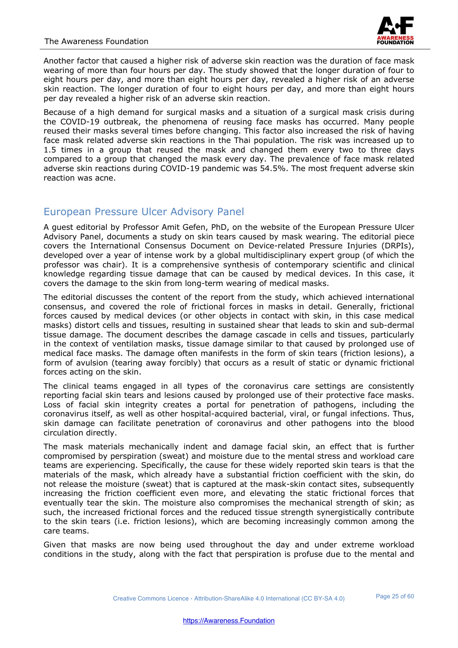

Another factor that caused a higher risk of adverse skin reaction was the duration of face mask wearing of more than four hours per day. The study showed that the longer duration of four to eight hours per day, and more than eight hours per day, revealed a higher risk of an adverse skin reaction. The longer duration of four to eight hours per day, and more than eight hours per day revealed a higher risk of an adverse skin reaction.

Because of a high demand for surgical masks and a situation of a surgical mask crisis during the COVID-19 outbreak, the phenomena of reusing face masks has occurred. Many people reused their masks several times before changing. This factor also increased the risk of having face mask related adverse skin reactions in the Thai population. The risk was increased up to 1.5 times in a group that reused the mask and changed them every two to three days compared to a group that changed the mask every day. The prevalence of face mask related adverse skin reactions during COVID-19 pandemic was 54.5%. The most frequent adverse skin reaction was acne.

#### European Pressure Ulcer Advisory Panel

A guest editorial by Professor Amit Gefen, PhD, on the website of the European Pressure Ulcer Advisory Panel, documents a study on skin tears caused by mask wearing. The editorial piece covers the International Consensus Document on Device-related Pressure Injuries (DRPIs), developed over a year of intense work by a global multidisciplinary expert group (of which the professor was chair). It is a comprehensive synthesis of contemporary scientific and clinical knowledge regarding tissue damage that can be caused by medical devices. In this case, it covers the damage to the skin from long-term wearing of medical masks.

The editorial discusses the content of the report from the study, which achieved international consensus, and covered the role of frictional forces in masks in detail. Generally, frictional forces caused by medical devices (or other objects in contact with skin, in this case medical masks) distort cells and tissues, resulting in sustained shear that leads to skin and sub-dermal tissue damage. The document describes the damage cascade in cells and tissues, particularly in the context of ventilation masks, tissue damage similar to that caused by prolonged use of medical face masks. The damage often manifests in the form of skin tears (friction lesions), a form of avulsion (tearing away forcibly) that occurs as a result of static or dynamic frictional forces acting on the skin.

The clinical teams engaged in all types of the coronavirus care settings are consistently reporting facial skin tears and lesions caused by prolonged use of their protective face masks. Loss of facial skin integrity creates a portal for penetration of pathogens, including the coronavirus itself, as well as other hospital-acquired bacterial, viral, or fungal infections. Thus, skin damage can facilitate penetration of coronavirus and other pathogens into the blood circulation directly.

The mask materials mechanically indent and damage facial skin, an effect that is further compromised by perspiration (sweat) and moisture due to the mental stress and workload care teams are experiencing. Specifically, the cause for these widely reported skin tears is that the materials of the mask, which already have a substantial friction coefficient with the skin, do not release the moisture (sweat) that is captured at the mask-skin contact sites, subsequently increasing the friction coefficient even more, and elevating the static frictional forces that eventually tear the skin. The moisture also compromises the mechanical strength of skin; as such, the increased frictional forces and the reduced tissue strength synergistically contribute to the skin tears (i.e. friction lesions), which are becoming increasingly common among the care teams.

Given that masks are now being used throughout the day and under extreme workload conditions in the study, along with the fact that perspiration is profuse due to the mental and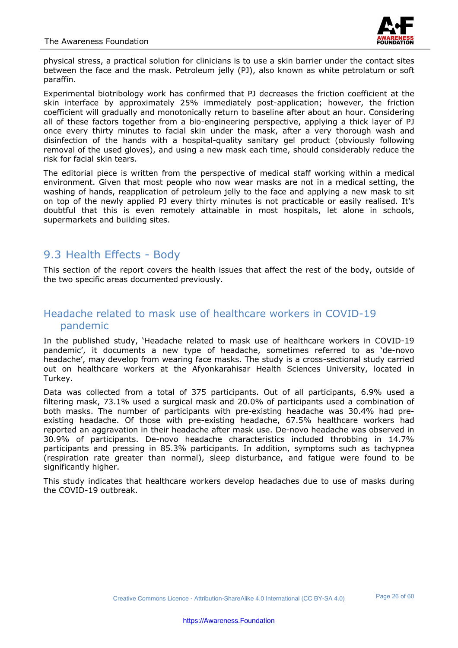

physical stress, a practical solution for clinicians is to use a skin barrier under the contact sites between the face and the mask. Petroleum jelly (PJ), also known as white petrolatum or soft paraffin.

Experimental biotribology work has confirmed that PJ decreases the friction coefficient at the skin interface by approximately 25% immediately post-application; however, the friction coefficient will gradually and monotonically return to baseline after about an hour. Considering all of these factors together from a bio-engineering perspective, applying a thick layer of PJ once every thirty minutes to facial skin under the mask, after a very thorough wash and disinfection of the hands with a hospital-quality sanitary gel product (obviously following removal of the used gloves), and using a new mask each time, should considerably reduce the risk for facial skin tears.

The editorial piece is written from the perspective of medical staff working within a medical environment. Given that most people who now wear masks are not in a medical setting, the washing of hands, reapplication of petroleum jelly to the face and applying a new mask to sit on top of the newly applied PJ every thirty minutes is not practicable or easily realised. It's doubtful that this is even remotely attainable in most hospitals, let alone in schools, supermarkets and building sites.

#### 9.3 Health Effects - Body

This section of the report covers the health issues that affect the rest of the body, outside of the two specific areas documented previously.

#### Headache related to mask use of healthcare workers in COVID-19 pandemic

In the published study, 'Headache related to mask use of healthcare workers in COVID-19 pandemic', it documents a new type of headache, sometimes referred to as 'de-novo headache', may develop from wearing face masks. The study is a cross-sectional study carried out on healthcare workers at the Afyonkarahisar Health Sciences University, located in Turkey.

Data was collected from a total of 375 participants. Out of all participants, 6.9% used a filtering mask, 73.1% used a surgical mask and 20.0% of participants used a combination of both masks. The number of participants with pre-existing headache was 30.4% had preexisting headache. Of those with pre-existing headache, 67.5% healthcare workers had reported an aggravation in their headache after mask use. De-novo headache was observed in 30.9% of participants. De-novo headache characteristics included throbbing in 14.7% participants and pressing in 85.3% participants. In addition, symptoms such as tachypnea (respiration rate greater than normal), sleep disturbance, and fatigue were found to be significantly higher.

This study indicates that healthcare workers develop headaches due to use of masks during the COVID-19 outbreak.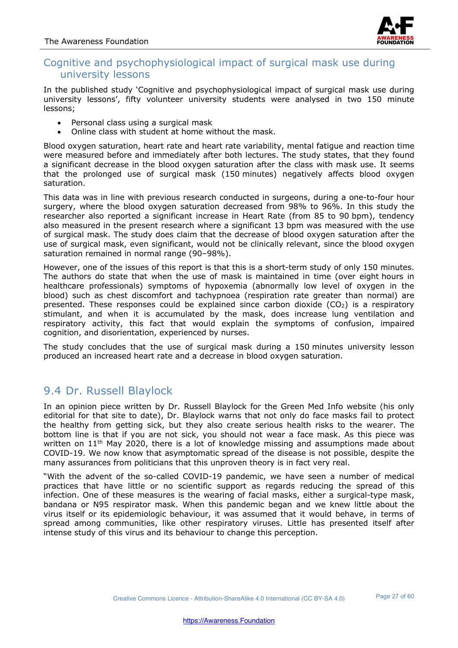

#### Cognitive and psychophysiological impact of surgical mask use during university lessons

In the published study 'Cognitive and psychophysiological impact of surgical mask use during university lessons', fifty volunteer university students were analysed in two 150 minute lessons;

- Personal class using a surgical mask
- Online class with student at home without the mask.

Blood oxygen saturation, heart rate and heart rate variability, mental fatigue and reaction time were measured before and immediately after both lectures. The study states, that they found a significant decrease in the blood oxygen saturation after the class with mask use. It seems that the prolonged use of surgical mask (150 minutes) negatively affects blood oxygen saturation.

This data was in line with previous research conducted in surgeons, during a one-to-four hour surgery, where the blood oxygen saturation decreased from 98% to 96%. In this study the researcher also reported a significant increase in Heart Rate (from 85 to 90 bpm), tendency also measured in the present research where a significant 13 bpm was measured with the use of surgical mask. The study does claim that the decrease of blood oxygen saturation after the use of surgical mask, even significant, would not be clinically relevant, since the blood oxygen saturation remained in normal range (90–98%).

However, one of the issues of this report is that this is a short-term study of only 150 minutes. The authors do state that when the use of mask is maintained in time (over eight hours in healthcare professionals) symptoms of hypoxemia (abnormally low level of oxygen in the blood) such as chest discomfort and tachypnoea (respiration rate greater than normal) are presented. These responses could be explained since carbon dioxide  $(CO<sub>2</sub>)$  is a respiratory stimulant, and when it is accumulated by the mask, does increase lung ventilation and respiratory activity, this fact that would explain the symptoms of confusion, impaired cognition, and disorientation, experienced by nurses.

The study concludes that the use of surgical mask during a 150 minutes university lesson produced an increased heart rate and a decrease in blood oxygen saturation.

#### 9.4 Dr. Russell Blaylock

In an opinion piece written by Dr. Russell Blaylock for the Green Med Info website (his only editorial for that site to date), Dr. Blaylock warns that not only do face masks fail to protect the healthy from getting sick, but they also create serious health risks to the wearer. The bottom line is that if you are not sick, you should not wear a face mask. As this piece was written on  $11<sup>th</sup>$  May 2020, there is a lot of knowledge missing and assumptions made about COVID-19. We now know that asymptomatic spread of the disease is not possible, despite the many assurances from politicians that this unproven theory is in fact very real.

"With the advent of the so-called COVID-19 pandemic, we have seen a number of medical practices that have little or no scientific support as regards reducing the spread of this infection. One of these measures is the wearing of facial masks, either a surgical-type mask, bandana or N95 respirator mask. When this pandemic began and we knew little about the virus itself or its epidemiologic behaviour, it was assumed that it would behave, in terms of spread among communities, like other respiratory viruses. Little has presented itself after intense study of this virus and its behaviour to change this perception.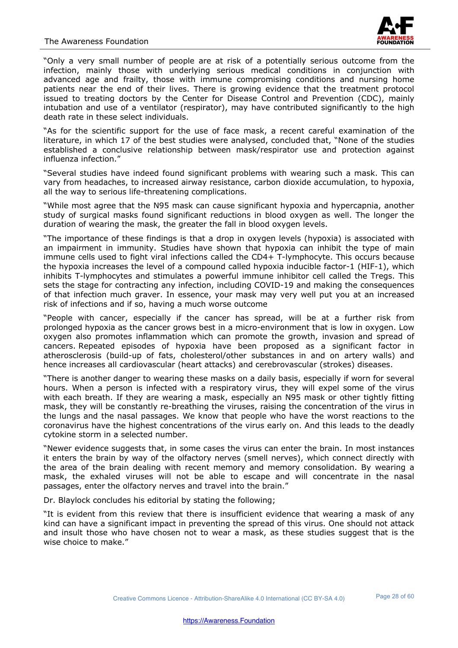

"Only a very small number of people are at risk of a potentially serious outcome from the infection, mainly those with underlying serious medical conditions in conjunction with advanced age and frailty, those with immune compromising conditions and nursing home patients near the end of their lives. There is growing evidence that the treatment protocol issued to treating doctors by the Center for Disease Control and Prevention (CDC), mainly intubation and use of a ventilator (respirator), may have contributed significantly to the high death rate in these select individuals.

"As for the scientific support for the use of face mask, a recent careful examination of the literature, in which 17 of the best studies were analysed, concluded that, "None of the studies established a conclusive relationship between mask/respirator use and protection against influenza infection."

"Several studies have indeed found significant problems with wearing such a mask. This can vary from headaches, to increased airway resistance, carbon dioxide accumulation, to hypoxia, all the way to serious life-threatening complications.

"While most agree that the N95 mask can cause significant hypoxia and hypercapnia, another study of surgical masks found significant reductions in blood oxygen as well. The longer the duration of wearing the mask, the greater the fall in blood oxygen levels.

"The importance of these findings is that a drop in oxygen levels (hypoxia) is associated with an impairment in immunity. Studies have shown that hypoxia can inhibit the type of main immune cells used to fight viral infections called the CD4+ T-lymphocyte. This occurs because the hypoxia increases the level of a compound called hypoxia inducible factor-1 (HIF-1), which inhibits T-lymphocytes and stimulates a powerful immune inhibitor cell called the Tregs. This sets the stage for contracting any infection, including COVID-19 and making the consequences of that infection much graver. In essence, your mask may very well put you at an increased risk of infections and if so, having a much worse outcome

"People with cancer, especially if the cancer has spread, will be at a further risk from prolonged hypoxia as the cancer grows best in a micro-environment that is low in oxygen. Low oxygen also promotes inflammation which can promote the growth, invasion and spread of cancers. Repeated episodes of hypoxia have been proposed as a significant factor in atherosclerosis (build-up of fats, cholesterol/other substances in and on artery walls) and hence increases all cardiovascular (heart attacks) and cerebrovascular (strokes) diseases.

"There is another danger to wearing these masks on a daily basis, especially if worn for several hours. When a person is infected with a respiratory virus, they will expel some of the virus with each breath. If they are wearing a mask, especially an N95 mask or other tightly fitting mask, they will be constantly re-breathing the viruses, raising the concentration of the virus in the lungs and the nasal passages. We know that people who have the worst reactions to the coronavirus have the highest concentrations of the virus early on. And this leads to the deadly cytokine storm in a selected number.

"Newer evidence suggests that, in some cases the virus can enter the brain. In most instances it enters the brain by way of the olfactory nerves (smell nerves), which connect directly with the area of the brain dealing with recent memory and memory consolidation. By wearing a mask, the exhaled viruses will not be able to escape and will concentrate in the nasal passages, enter the olfactory nerves and travel into the brain."

Dr. Blaylock concludes his editorial by stating the following;

"It is evident from this review that there is insufficient evidence that wearing a mask of any kind can have a significant impact in preventing the spread of this virus. One should not attack and insult those who have chosen not to wear a mask, as these studies suggest that is the wise choice to make."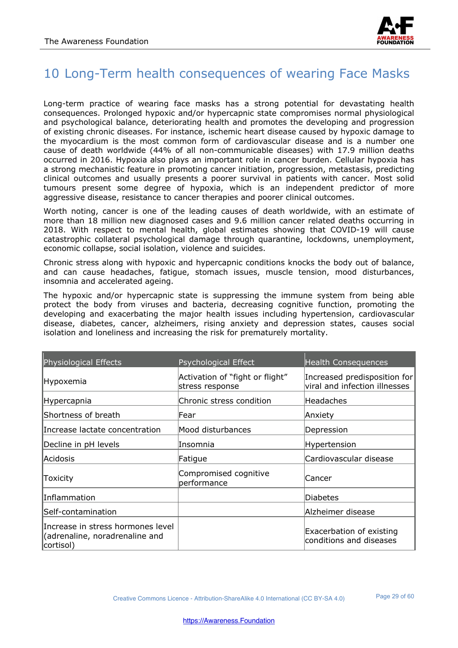

## 10 Long-Term health consequences of wearing Face Masks

Long-term practice of wearing face masks has a strong potential for devastating health consequences. Prolonged hypoxic and/or hypercapnic state compromises normal physiological and psychological balance, deteriorating health and promotes the developing and progression of existing chronic diseases. For instance, ischemic heart disease caused by hypoxic damage to the myocardium is the most common form of cardiovascular disease and is a number one cause of death worldwide (44% of all non-communicable diseases) with 17.9 million deaths occurred in 2016. Hypoxia also plays an important role in cancer burden. Cellular hypoxia has a strong mechanistic feature in promoting cancer initiation, progression, metastasis, predicting clinical outcomes and usually presents a poorer survival in patients with cancer. Most solid tumours present some degree of hypoxia, which is an independent predictor of more aggressive disease, resistance to cancer therapies and poorer clinical outcomes.

Worth noting, cancer is one of the leading causes of death worldwide, with an estimate of more than 18 million new diagnosed cases and 9.6 million cancer related deaths occurring in 2018. With respect to mental health, global estimates showing that COVID-19 will cause catastrophic collateral psychological damage through quarantine, lockdowns, unemployment, economic collapse, social isolation, violence and suicides.

Chronic stress along with hypoxic and hypercapnic conditions knocks the body out of balance, and can cause headaches, fatigue, stomach issues, muscle tension, mood disturbances, insomnia and accelerated ageing.

The hypoxic and/or hypercapnic state is suppressing the immune system from being able protect the body from viruses and bacteria, decreasing cognitive function, promoting the developing and exacerbating the major health issues including hypertension, cardiovascular disease, diabetes, cancer, alzheimers, rising anxiety and depression states, causes social isolation and loneliness and increasing the risk for prematurely mortality.

| <b>Physiological Effects</b>                                                     | Psychological Effect                               | <b>Health Consequences</b>                                    |
|----------------------------------------------------------------------------------|----------------------------------------------------|---------------------------------------------------------------|
| Hypoxemia                                                                        | Activation of "fight or flight"<br>stress response | Increased predisposition for<br>viral and infection illnesses |
| Hypercapnia                                                                      | Chronic stress condition                           | Headaches                                                     |
| Shortness of breath                                                              | lFear                                              | Anxiety                                                       |
| Increase lactate concentration                                                   | Mood disturbances                                  | Depression                                                    |
| Decline in pH levels                                                             | Insomnia                                           | Hypertension                                                  |
| <b>Acidosis</b>                                                                  | Fatigue                                            | Cardiovascular disease                                        |
| Toxicity                                                                         | Compromised cognitive<br>performance               | Cancer                                                        |
| <b>Inflammation</b>                                                              |                                                    | Diabetes                                                      |
| Self-contamination                                                               |                                                    | Alzheimer disease                                             |
| Increase in stress hormones level<br>(adrenaline, noradrenaline and<br>cortisol) |                                                    | Exacerbation of existing<br>conditions and diseases           |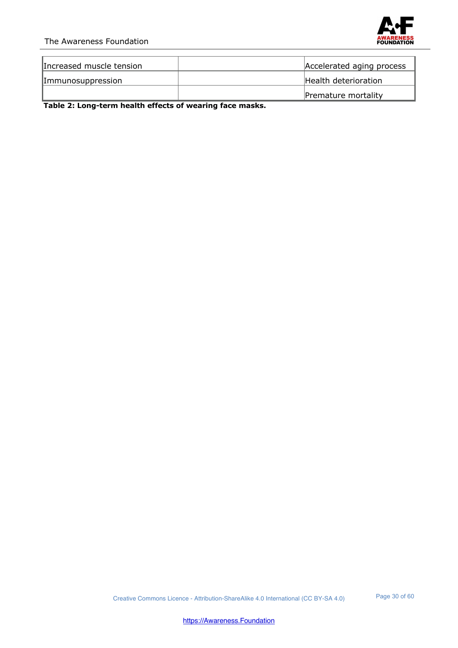#### The Awareness Foundation



| Increased muscle tension | Accelerated aging process |
|--------------------------|---------------------------|
| Immunosuppression        | Health deterioration      |
|                          | Premature mortality       |

**Table 2: Long-term health effects of wearing face masks.**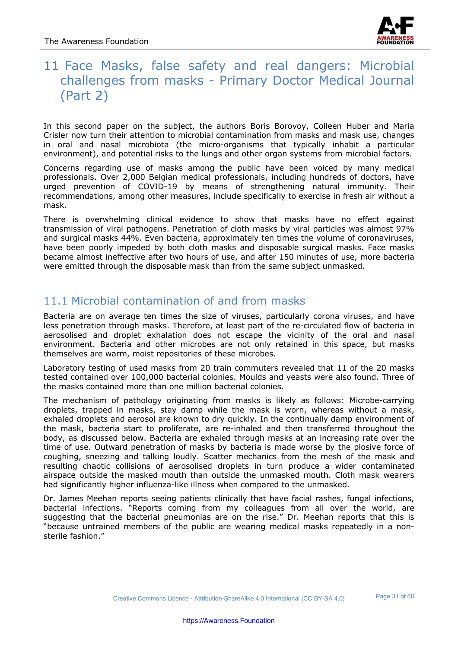

## 11 Face Masks, false safety and real dangers: Microbial challenges from masks - Primary Doctor Medical Journal (Part 2)

In this second paper on the subject, the authors Boris Borovoy, Colleen Huber and Maria Crisler now turn their attention to microbial contamination from masks and mask use, changes in oral and nasal microbiota (the micro-organisms that typically inhabit a particular environment), and potential risks to the lungs and other organ systems from microbial factors.

Concerns regarding use of masks among the public have been voiced by many medical professionals. Over 2,000 Belgian medical professionals, including hundreds of doctors, have urged prevention of COVID-19 by means of strengthening natural immunity. Their recommendations, among other measures, include specifically to exercise in fresh air without a mask.

There is overwhelming clinical evidence to show that masks have no effect against transmission of viral pathogens. Penetration of cloth masks by viral particles was almost 97% and surgical masks 44%. Even bacteria, approximately ten times the volume of coronaviruses, have been poorly impeded by both cloth masks and disposable surgical masks. Face masks became almost ineffective after two hours of use, and after 150 minutes of use, more bacteria were emitted through the disposable mask than from the same subject unmasked.

## 11.1 Microbial contamination of and from masks

Bacteria are on average ten times the size of viruses, particularly corona viruses, and have less penetration through masks. Therefore, at least part of the re-circulated flow of bacteria in aerosolised and droplet exhalation does not escape the vicinity of the oral and nasal environment. Bacteria and other microbes are not only retained in this space, but masks themselves are warm, moist repositories of these microbes.

Laboratory testing of used masks from 20 train commuters revealed that 11 of the 20 masks tested contained over 100,000 bacterial colonies. Moulds and yeasts were also found. Three of the masks contained more than one million bacterial colonies.

The mechanism of pathology originating from masks is likely as follows: Microbe-carrying droplets, trapped in masks, stay damp while the mask is worn, whereas without a mask, exhaled droplets and aerosol are known to dry quickly. In the continually damp environment of the mask, bacteria start to proliferate, are re-inhaled and then transferred throughout the body, as discussed below. Bacteria are exhaled through masks at an increasing rate over the time of use. Outward penetration of masks by bacteria is made worse by the plosive force of coughing, sneezing and talking loudly. Scatter mechanics from the mesh of the mask and resulting chaotic collisions of aerosolised droplets in turn produce a wider contaminated airspace outside the masked mouth than outside the unmasked mouth. Cloth mask wearers had significantly higher influenza-like illness when compared to the unmasked.

Dr. James Meehan reports seeing patients clinically that have facial rashes, fungal infections, bacterial infections. "Reports coming from my colleagues from all over the world, are suggesting that the bacterial pneumonias are on the rise." Dr. Meehan reports that this is "because untrained members of the public are wearing medical masks repeatedly in a nonsterile fashion."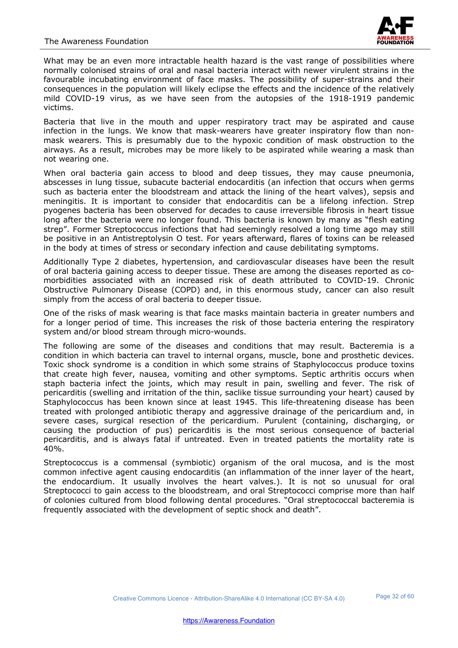

What may be an even more intractable health hazard is the vast range of possibilities where normally colonised strains of oral and nasal bacteria interact with newer virulent strains in the favourable incubating environment of face masks. The possibility of super-strains and their consequences in the population will likely eclipse the effects and the incidence of the relatively mild COVID-19 virus, as we have seen from the autopsies of the 1918-1919 pandemic victims.

Bacteria that live in the mouth and upper respiratory tract may be aspirated and cause infection in the lungs. We know that mask-wearers have greater inspiratory flow than nonmask wearers. This is presumably due to the hypoxic condition of mask obstruction to the airways. As a result, microbes may be more likely to be aspirated while wearing a mask than not wearing one.

When oral bacteria gain access to blood and deep tissues, they may cause pneumonia, abscesses in lung tissue, subacute bacterial endocarditis (an infection that occurs when germs such as bacteria enter the bloodstream and attack the lining of the heart valves), sepsis and meningitis. It is important to consider that endocarditis can be a lifelong infection. Strep pyogenes bacteria has been observed for decades to cause irreversible fibrosis in heart tissue long after the bacteria were no longer found. This bacteria is known by many as "flesh eating strep". Former Streptococcus infections that had seemingly resolved a long time ago may still be positive in an Antistreptolysin O test. For years afterward, flares of toxins can be released in the body at times of stress or secondary infection and cause debilitating symptoms.

Additionally Type 2 diabetes, hypertension, and cardiovascular diseases have been the result of oral bacteria gaining access to deeper tissue. These are among the diseases reported as comorbidities associated with an increased risk of death attributed to COVID-19. Chronic Obstructive Pulmonary Disease (COPD) and, in this enormous study, cancer can also result simply from the access of oral bacteria to deeper tissue.

One of the risks of mask wearing is that face masks maintain bacteria in greater numbers and for a longer period of time. This increases the risk of those bacteria entering the respiratory system and/or blood stream through micro-wounds.

The following are some of the diseases and conditions that may result. Bacteremia is a condition in which bacteria can travel to internal organs, muscle, bone and prosthetic devices. Toxic shock syndrome is a condition in which some strains of Staphylococcus produce toxins that create high fever, nausea, vomiting and other symptoms. Septic arthritis occurs when staph bacteria infect the joints, which may result in pain, swelling and fever. The risk of pericarditis (swelling and irritation of the thin, saclike tissue surrounding your heart) caused by Staphylococcus has been known since at least 1945. This life-threatening disease has been treated with prolonged antibiotic therapy and aggressive drainage of the pericardium and, in severe cases, surgical resection of the pericardium. Purulent (containing, discharging, or causing the production of pus) pericarditis is the most serious consequence of bacterial pericarditis, and is always fatal if untreated. Even in treated patients the mortality rate is 40%.

Streptococcus is a commensal (symbiotic) organism of the oral mucosa, and is the most common infective agent causing endocarditis (an inflammation of the inner layer of the heart, the endocardium. It usually involves the heart valves.). It is not so unusual for oral Streptococci to gain access to the bloodstream, and oral Streptococci comprise more than half of colonies cultured from blood following dental procedures. "Oral streptococcal bacteremia is frequently associated with the development of septic shock and death".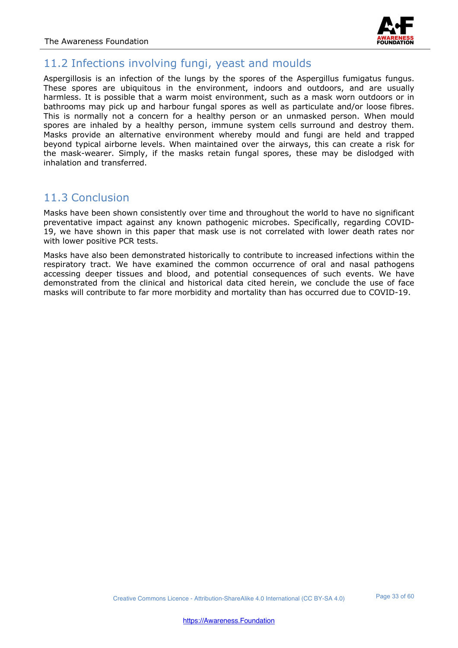

#### 11.2 Infections involving fungi, yeast and moulds

Aspergillosis is an infection of the lungs by the spores of the Aspergillus fumigatus fungus. These spores are ubiquitous in the environment, indoors and outdoors, and are usually harmless. It is possible that a warm moist environment, such as a mask worn outdoors or in bathrooms may pick up and harbour fungal spores as well as particulate and/or loose fibres. This is normally not a concern for a healthy person or an unmasked person. When mould spores are inhaled by a healthy person, immune system cells surround and destroy them. Masks provide an alternative environment whereby mould and fungi are held and trapped beyond typical airborne levels. When maintained over the airways, this can create a risk for the mask-wearer. Simply, if the masks retain fungal spores, these may be dislodged with inhalation and transferred.

#### 11.3 Conclusion

Masks have been shown consistently over time and throughout the world to have no significant preventative impact against any known pathogenic microbes. Specifically, regarding COVID-19, we have shown in this paper that mask use is not correlated with lower death rates nor with lower positive PCR tests.

Masks have also been demonstrated historically to contribute to increased infections within the respiratory tract. We have examined the common occurrence of oral and nasal pathogens accessing deeper tissues and blood, and potential consequences of such events. We have demonstrated from the clinical and historical data cited herein, we conclude the use of face masks will contribute to far more morbidity and mortality than has occurred due to COVID-19.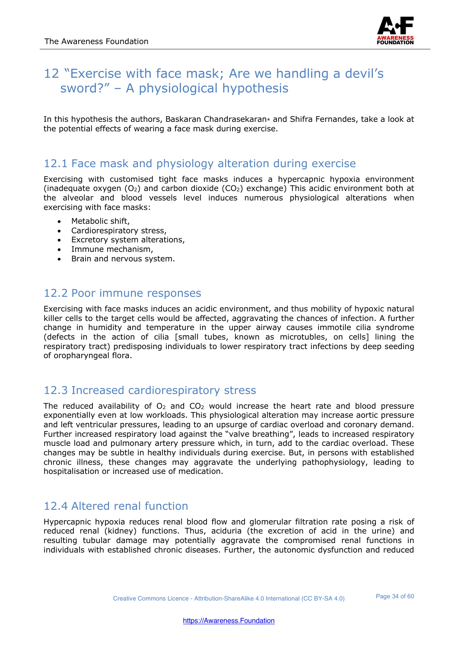

## 12 "Exercise with face mask; Are we handling a devil's sword?" – A physiological hypothesis

In this hypothesis the authors, Baskaran Chandrasekaran<sup>\*</sup> and Shifra Fernandes, take a look at the potential effects of wearing a face mask during exercise.

#### 12.1 Face mask and physiology alteration during exercise

Exercising with customised tight face masks induces a hypercapnic hypoxia environment (inadequate oxygen  $(O_2)$  and carbon dioxide  $(CO_2)$  exchange) This acidic environment both at the alveolar and blood vessels level induces numerous physiological alterations when exercising with face masks:

- Metabolic shift,
- Cardiorespiratory stress,
- Excretory system alterations,
- Immune mechanism,
- Brain and nervous system.

#### 12.2 Poor immune responses

Exercising with face masks induces an acidic environment, and thus mobility of hypoxic natural killer cells to the target cells would be affected, aggravating the chances of infection. A further change in humidity and temperature in the upper airway causes immotile cilia syndrome (defects in the action of cilia [small tubes, known as microtubles, on cells] lining the respiratory tract) predisposing individuals to lower respiratory tract infections by deep seeding of oropharyngeal flora.

#### 12.3 Increased cardiorespiratory stress

The reduced availability of  $O<sub>2</sub>$  and  $CO<sub>2</sub>$  would increase the heart rate and blood pressure exponentially even at low workloads. This physiological alteration may increase aortic pressure and left ventricular pressures, leading to an upsurge of cardiac overload and coronary demand. Further increased respiratory load against the "valve breathing", leads to increased respiratory muscle load and pulmonary artery pressure which, in turn, add to the cardiac overload. These changes may be subtle in healthy individuals during exercise. But, in persons with established chronic illness, these changes may aggravate the underlying pathophysiology, leading to hospitalisation or increased use of medication.

#### 12.4 Altered renal function

Hypercapnic hypoxia reduces renal blood flow and glomerular filtration rate posing a risk of reduced renal (kidney) functions. Thus, aciduria (the excretion of acid in the urine) and resulting tubular damage may potentially aggravate the compromised renal functions in individuals with established chronic diseases. Further, the autonomic dysfunction and reduced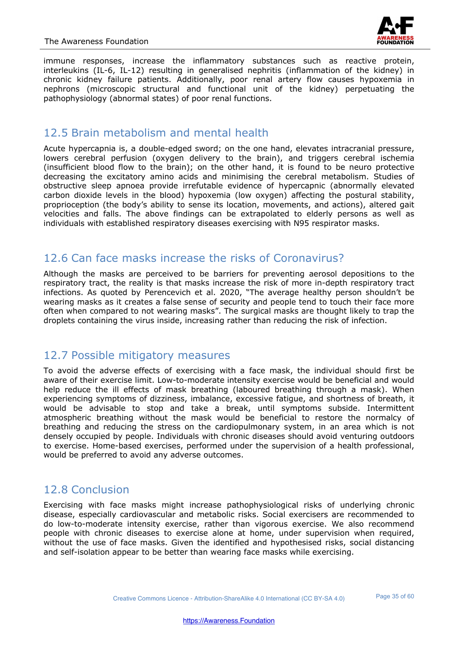

immune responses, increase the inflammatory substances such as reactive protein, interleukins (IL-6, IL-12) resulting in generalised nephritis (inflammation of the kidney) in chronic kidney failure patients. Additionally, poor renal artery flow causes hypoxemia in nephrons (microscopic structural and functional unit of the kidney) perpetuating the pathophysiology (abnormal states) of poor renal functions.

#### 12.5 Brain metabolism and mental health

Acute hypercapnia is, a double-edged sword; on the one hand, elevates intracranial pressure, lowers cerebral perfusion (oxygen delivery to the brain), and triggers cerebral ischemia (insufficient blood flow to the brain); on the other hand, it is found to be neuro protective decreasing the excitatory amino acids and minimising the cerebral metabolism. Studies of obstructive sleep apnoea provide irrefutable evidence of hypercapnic (abnormally elevated carbon dioxide levels in the blood) hypoxemia (low oxygen) affecting the postural stability, proprioception (the body's ability to sense its location, movements, and actions), altered gait velocities and falls. The above findings can be extrapolated to elderly persons as well as individuals with established respiratory diseases exercising with N95 respirator masks.

#### 12.6 Can face masks increase the risks of Coronavirus?

Although the masks are perceived to be barriers for preventing aerosol depositions to the respiratory tract, the reality is that masks increase the risk of more in-depth respiratory tract infections. As quoted by Perencevich et al. 2020, "The average healthy person shouldn't be wearing masks as it creates a false sense of security and people tend to touch their face more often when compared to not wearing masks". The surgical masks are thought likely to trap the droplets containing the virus inside, increasing rather than reducing the risk of infection.

#### 12.7 Possible mitigatory measures

To avoid the adverse effects of exercising with a face mask, the individual should first be aware of their exercise limit. Low-to-moderate intensity exercise would be beneficial and would help reduce the ill effects of mask breathing (laboured breathing through a mask). When experiencing symptoms of dizziness, imbalance, excessive fatigue, and shortness of breath, it would be advisable to stop and take a break, until symptoms subside. Intermittent atmospheric breathing without the mask would be beneficial to restore the normalcy of breathing and reducing the stress on the cardiopulmonary system, in an area which is not densely occupied by people. Individuals with chronic diseases should avoid venturing outdoors to exercise. Home-based exercises, performed under the supervision of a health professional, would be preferred to avoid any adverse outcomes.

## 12.8 Conclusion

Exercising with face masks might increase pathophysiological risks of underlying chronic disease, especially cardiovascular and metabolic risks. Social exercisers are recommended to do low-to-moderate intensity exercise, rather than vigorous exercise. We also recommend people with chronic diseases to exercise alone at home, under supervision when required, without the use of face masks. Given the identified and hypothesised risks, social distancing and self-isolation appear to be better than wearing face masks while exercising.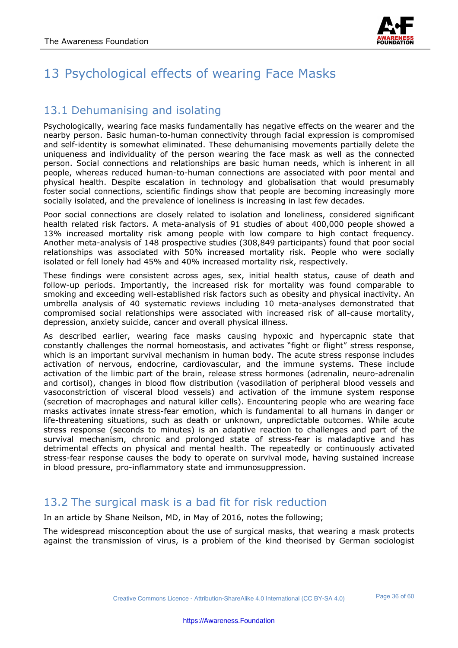

## 13 Psychological effects of wearing Face Masks

#### 13.1 Dehumanising and isolating

Psychologically, wearing face masks fundamentally has negative effects on the wearer and the nearby person. Basic human-to-human connectivity through facial expression is compromised and self-identity is somewhat eliminated. These dehumanising movements partially delete the uniqueness and individuality of the person wearing the face mask as well as the connected person. Social connections and relationships are basic human needs, which is inherent in all people, whereas reduced human-to-human connections are associated with poor mental and physical health. Despite escalation in technology and globalisation that would presumably foster social connections, scientific findings show that people are becoming increasingly more socially isolated, and the prevalence of loneliness is increasing in last few decades.

Poor social connections are closely related to isolation and loneliness, considered significant health related risk factors. A meta-analysis of 91 studies of about 400,000 people showed a 13% increased mortality risk among people with low compare to high contact frequency. Another meta-analysis of 148 prospective studies (308,849 participants) found that poor social relationships was associated with 50% increased mortality risk. People who were socially isolated or fell lonely had 45% and 40% increased mortality risk, respectively.

These findings were consistent across ages, sex, initial health status, cause of death and follow-up periods. Importantly, the increased risk for mortality was found comparable to smoking and exceeding well-established risk factors such as obesity and physical inactivity. An umbrella analysis of 40 systematic reviews including 10 meta-analyses demonstrated that compromised social relationships were associated with increased risk of all-cause mortality, depression, anxiety suicide, cancer and overall physical illness.

As described earlier, wearing face masks causing hypoxic and hypercapnic state that constantly challenges the normal homeostasis, and activates "fight or flight" stress response, which is an important survival mechanism in human body. The acute stress response includes activation of nervous, endocrine, cardiovascular, and the immune systems. These include activation of the limbic part of the brain, release stress hormones (adrenalin, neuro-adrenalin and cortisol), changes in blood flow distribution (vasodilation of peripheral blood vessels and vasoconstriction of visceral blood vessels) and activation of the immune system response (secretion of macrophages and natural killer cells). Encountering people who are wearing face masks activates innate stress-fear emotion, which is fundamental to all humans in danger or life-threatening situations, such as death or unknown, unpredictable outcomes. While acute stress response (seconds to minutes) is an adaptive reaction to challenges and part of the survival mechanism, chronic and prolonged state of stress-fear is maladaptive and has detrimental effects on physical and mental health. The repeatedly or continuously activated stress-fear response causes the body to operate on survival mode, having sustained increase in blood pressure, pro-inflammatory state and immunosuppression.

## 13.2 The surgical mask is a bad fit for risk reduction

In an article by Shane Neilson, MD, in May of 2016, notes the following;

The widespread misconception about the use of surgical masks, that wearing a mask protects against the transmission of virus, is a problem of the kind theorised by German sociologist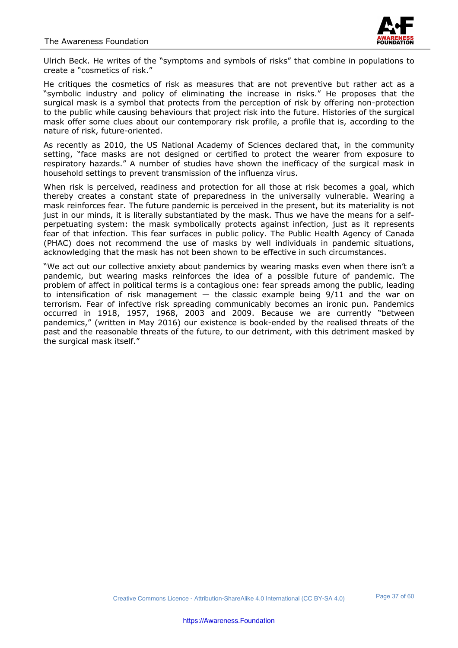

Ulrich Beck. He writes of the "symptoms and symbols of risks" that combine in populations to create a "cosmetics of risk."

He critiques the cosmetics of risk as measures that are not preventive but rather act as a "symbolic industry and policy of eliminating the increase in risks." He proposes that the surgical mask is a symbol that protects from the perception of risk by offering non-protection to the public while causing behaviours that project risk into the future. Histories of the surgical mask offer some clues about our contemporary risk profile, a profile that is, according to the nature of risk, future-oriented.

As recently as 2010, the US National Academy of Sciences declared that, in the community setting, "face masks are not designed or certified to protect the wearer from exposure to respiratory hazards." A number of studies have shown the inefficacy of the surgical mask in household settings to prevent transmission of the influenza virus.

When risk is perceived, readiness and protection for all those at risk becomes a goal, which thereby creates a constant state of preparedness in the universally vulnerable. Wearing a mask reinforces fear. The future pandemic is perceived in the present, but its materiality is not just in our minds, it is literally substantiated by the mask. Thus we have the means for a selfperpetuating system: the mask symbolically protects against infection, just as it represents fear of that infection. This fear surfaces in public policy. The Public Health Agency of Canada (PHAC) does not recommend the use of masks by well individuals in pandemic situations, acknowledging that the mask has not been shown to be effective in such circumstances.

"We act out our collective anxiety about pandemics by wearing masks even when there isn't a pandemic, but wearing masks reinforces the idea of a possible future of pandemic. The problem of affect in political terms is a contagious one: fear spreads among the public, leading to intensification of risk management  $-$  the classic example being  $9/11$  and the war on terrorism. Fear of infective risk spreading communicably becomes an ironic pun. Pandemics occurred in 1918, 1957, 1968, 2003 and 2009. Because we are currently "between pandemics," (written in May 2016) our existence is book-ended by the realised threats of the past and the reasonable threats of the future, to our detriment, with this detriment masked by the surgical mask itself."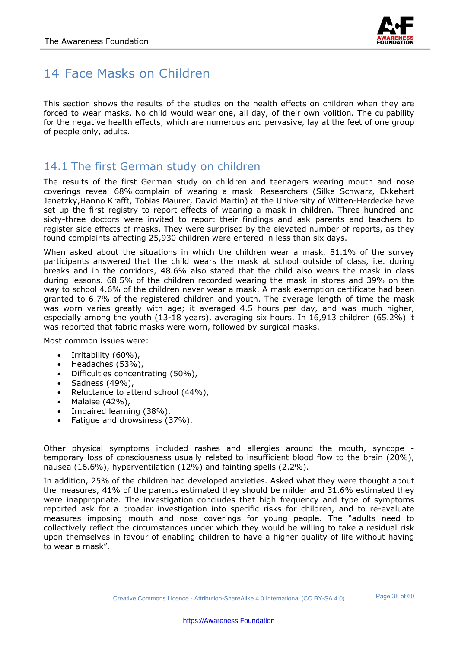

## 14 Face Masks on Children

This section shows the results of the studies on the health effects on children when they are forced to wear masks. No child would wear one, all day, of their own volition. The culpability for the negative health effects, which are numerous and pervasive, lay at the feet of one group of people only, adults.

## 14.1 The first German study on children

The results of the first German study on children and teenagers wearing mouth and nose coverings reveal 68% complain of wearing a mask. Researchers (Silke Schwarz, Ekkehart Jenetzky,Hanno Krafft, Tobias Maurer, David Martin) at the University of Witten-Herdecke have set up the first registry to report effects of wearing a mask in children. Three hundred and sixty-three doctors were invited to report their findings and ask parents and teachers to register side effects of masks. They were surprised by the elevated number of reports, as they found complaints affecting 25,930 children were entered in less than six days.

When asked about the situations in which the children wear a mask, 81.1% of the survey participants answered that the child wears the mask at school outside of class, i.e. during breaks and in the corridors, 48.6% also stated that the child also wears the mask in class during lessons. 68.5% of the children recorded wearing the mask in stores and 39% on the way to school 4.6% of the children never wear a mask. A mask exemption certificate had been granted to 6.7% of the registered children and youth. The average length of time the mask was worn varies greatly with age; it averaged 4.5 hours per day, and was much higher, especially among the youth (13-18 years), averaging six hours. In 16,913 children (65.2%) it was reported that fabric masks were worn, followed by surgical masks.

Most common issues were:

- Irritability (60%),
- Headaches (53%),
- Difficulties concentrating (50%),
- Sadness (49%),<br>• Reluctance to at
- Reluctance to attend school (44%),
- Malaise (42%),
- Impaired learning (38%),
- Fatigue and drowsiness (37%).

Other physical symptoms included rashes and allergies around the mouth, syncope temporary loss of consciousness usually related to insufficient blood flow to the brain (20%), nausea (16.6%), hyperventilation (12%) and fainting spells (2.2%).

In addition, 25% of the children had developed anxieties. Asked what they were thought about the measures, 41% of the parents estimated they should be milder and 31.6% estimated they were inappropriate. The investigation concludes that high frequency and type of symptoms reported ask for a broader investigation into specific risks for children, and to re-evaluate measures imposing mouth and nose coverings for young people. The "adults need to collectively reflect the circumstances under which they would be willing to take a residual risk upon themselves in favour of enabling children to have a higher quality of life without having to wear a mask".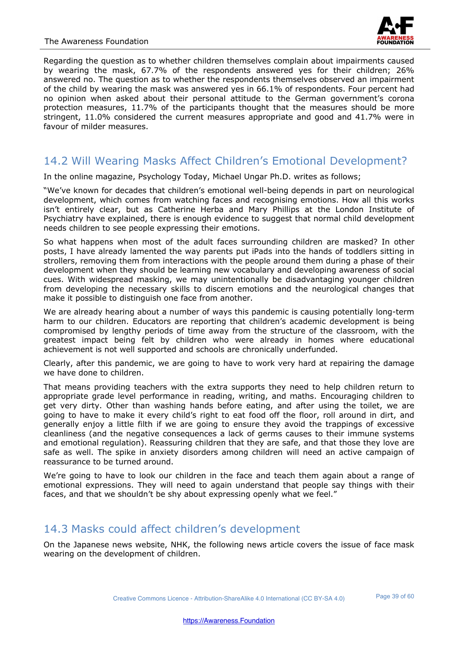

Regarding the question as to whether children themselves complain about impairments caused by wearing the mask, 67.7% of the respondents answered yes for their children; 26% answered no. The question as to whether the respondents themselves observed an impairment of the child by wearing the mask was answered yes in 66.1% of respondents. Four percent had no opinion when asked about their personal attitude to the German government's corona protection measures, 11.7% of the participants thought that the measures should be more stringent, 11.0% considered the current measures appropriate and good and 41.7% were in favour of milder measures.

#### 14.2 Will Wearing Masks Affect Children's Emotional Development?

In the online magazine, Psychology Today, Michael Ungar Ph.D. writes as follows;

"We've known for decades that children's emotional well-being depends in part on neurological development, which comes from watching faces and recognising emotions. How all this works isn't entirely clear, but as Catherine Herba and Mary Phillips at the London Institute of Psychiatry have explained, there is enough evidence to suggest that normal child development needs children to see people expressing their emotions.

So what happens when most of the adult faces surrounding children are masked? In other posts, I have already lamented the way parents put iPads into the hands of toddlers sitting in strollers, removing them from interactions with the people around them during a phase of their development when they should be learning new vocabulary and developing awareness of social cues. With widespread masking, we may unintentionally be disadvantaging younger children from developing the necessary skills to discern emotions and the neurological changes that make it possible to distinguish one face from another.

We are already hearing about a number of ways this pandemic is causing potentially long-term harm to our children. Educators are reporting that children's academic development is being compromised by lengthy periods of time away from the structure of the classroom, with the greatest impact being felt by children who were already in homes where educational achievement is not well supported and schools are chronically underfunded.

Clearly, after this pandemic, we are going to have to work very hard at repairing the damage we have done to children.

That means providing teachers with the extra supports they need to help children return to appropriate grade level performance in reading, writing, and maths. Encouraging children to get very dirty. Other than washing hands before eating, and after using the toilet, we are going to have to make it every child's right to eat food off the floor, roll around in dirt, and generally enjoy a little filth if we are going to ensure they avoid the trappings of excessive cleanliness (and the negative consequences a lack of germs causes to their immune systems and emotional regulation). Reassuring children that they are safe, and that those they love are safe as well. The spike in anxiety disorders among children will need an active campaign of reassurance to be turned around.

We're going to have to look our children in the face and teach them again about a range of emotional expressions. They will need to again understand that people say things with their faces, and that we shouldn't be shy about expressing openly what we feel."

#### 14.3 Masks could affect children's development

On the Japanese news website, NHK, the following news article covers the issue of face mask wearing on the development of children.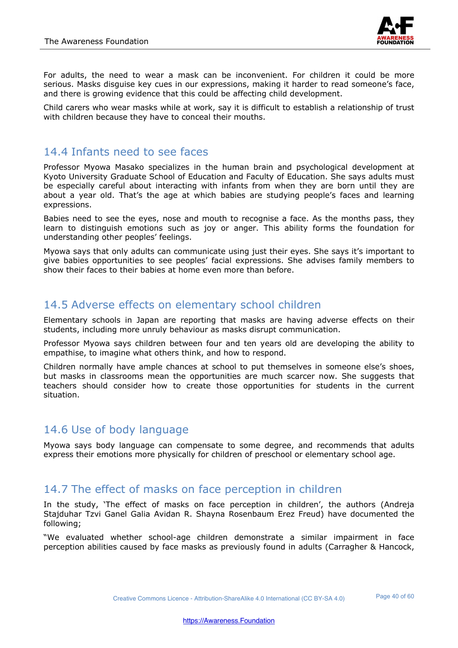

For adults, the need to wear a mask can be inconvenient. For children it could be more serious. Masks disguise key cues in our expressions, making it harder to read someone's face, and there is growing evidence that this could be affecting child development.

Child carers who wear masks while at work, say it is difficult to establish a relationship of trust with children because they have to conceal their mouths.

#### 14.4 Infants need to see faces

Professor Myowa Masako specializes in the human brain and psychological development at Kyoto University Graduate School of Education and Faculty of Education. She says adults must be especially careful about interacting with infants from when they are born until they are about a year old. That's the age at which babies are studying people's faces and learning expressions.

Babies need to see the eyes, nose and mouth to recognise a face. As the months pass, they learn to distinguish emotions such as joy or anger. This ability forms the foundation for understanding other peoples' feelings.

Myowa says that only adults can communicate using just their eyes. She says it's important to give babies opportunities to see peoples' facial expressions. She advises family members to show their faces to their babies at home even more than before.

#### 14.5 Adverse effects on elementary school children

Elementary schools in Japan are reporting that masks are having adverse effects on their students, including more unruly behaviour as masks disrupt communication.

Professor Myowa says children between four and ten years old are developing the ability to empathise, to imagine what others think, and how to respond.

Children normally have ample chances at school to put themselves in someone else's shoes, but masks in classrooms mean the opportunities are much scarcer now. She suggests that teachers should consider how to create those opportunities for students in the current situation.

#### 14.6 Use of body language

Myowa says body language can compensate to some degree, and recommends that adults express their emotions more physically for children of preschool or elementary school age.

#### 14.7 The effect of masks on face perception in children

In the study, 'The effect of masks on face perception in children', the authors (Andreja Stajduhar Tzvi Ganel Galia Avidan R. Shayna Rosenbaum Erez Freud) have documented the following;

"We evaluated whether school-age children demonstrate a similar impairment in face perception abilities caused by face masks as previously found in adults (Carragher & Hancock,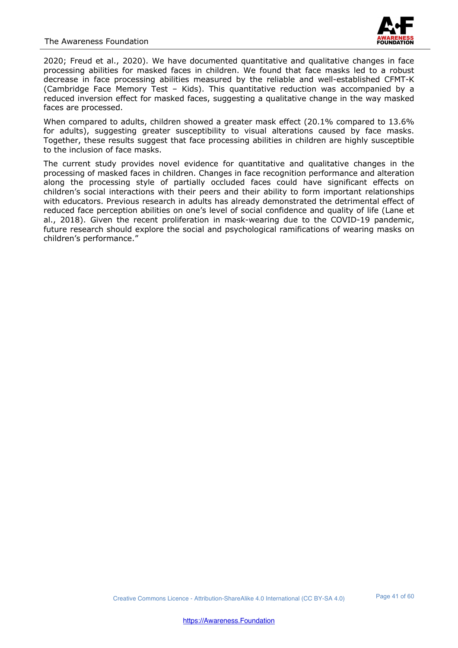

2020; Freud et al., 2020). We have documented quantitative and qualitative changes in face processing abilities for masked faces in children. We found that face masks led to a robust decrease in face processing abilities measured by the reliable and well-established CFMT-K (Cambridge Face Memory Test – Kids). This quantitative reduction was accompanied by a reduced inversion effect for masked faces, suggesting a qualitative change in the way masked faces are processed.

When compared to adults, children showed a greater mask effect (20.1% compared to 13.6% for adults), suggesting greater susceptibility to visual alterations caused by face masks. Together, these results suggest that face processing abilities in children are highly susceptible to the inclusion of face masks.

The current study provides novel evidence for quantitative and qualitative changes in the processing of masked faces in children. Changes in face recognition performance and alteration along the processing style of partially occluded faces could have significant effects on children's social interactions with their peers and their ability to form important relationships with educators. Previous research in adults has already demonstrated the detrimental effect of reduced face perception abilities on one's level of social confidence and quality of life (Lane et al., 2018). Given the recent proliferation in mask-wearing due to the COVID-19 pandemic, future research should explore the social and psychological ramifications of wearing masks on children's performance."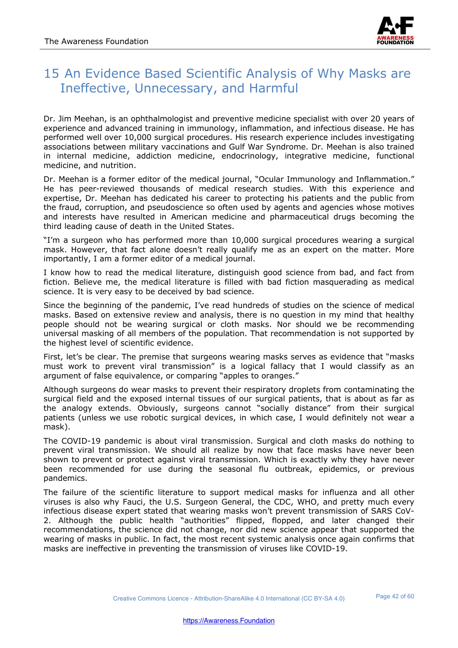

## 15 An Evidence Based Scientific Analysis of Why Masks are Ineffective, Unnecessary, and Harmful

Dr. Jim Meehan, is an ophthalmologist and preventive medicine specialist with over 20 years of experience and advanced training in immunology, inflammation, and infectious disease. He has performed well over 10,000 surgical procedures. His research experience includes investigating associations between military vaccinations and Gulf War Syndrome. Dr. Meehan is also trained in internal medicine, addiction medicine, endocrinology, integrative medicine, functional medicine, and nutrition.

Dr. Meehan is a former editor of the medical journal, "Ocular Immunology and Inflammation." He has peer-reviewed thousands of medical research studies. With this experience and expertise, Dr. Meehan has dedicated his career to protecting his patients and the public from the fraud, corruption, and pseudoscience so often used by agents and agencies whose motives and interests have resulted in American medicine and pharmaceutical drugs becoming the third leading cause of death in the United States.

"I'm a surgeon who has performed more than 10,000 surgical procedures wearing a surgical mask. However, that fact alone doesn't really qualify me as an expert on the matter. More importantly, I am a former editor of a medical journal.

I know how to read the medical literature, distinguish good science from bad, and fact from fiction. Believe me, the medical literature is filled with bad fiction masquerading as medical science. It is very easy to be deceived by bad science.

Since the beginning of the pandemic, I've read hundreds of studies on the science of medical masks. Based on extensive review and analysis, there is no question in my mind that healthy people should not be wearing surgical or cloth masks. Nor should we be recommending universal masking of all members of the population. That recommendation is not supported by the highest level of scientific evidence.

First, let's be clear. The premise that surgeons wearing masks serves as evidence that "masks must work to prevent viral transmission" is a logical fallacy that I would classify as an argument of false equivalence, or comparing "apples to oranges."

Although surgeons do wear masks to prevent their respiratory droplets from contaminating the surgical field and the exposed internal tissues of our surgical patients, that is about as far as the analogy extends. Obviously, surgeons cannot "socially distance" from their surgical patients (unless we use robotic surgical devices, in which case, I would definitely not wear a mask).

The COVID-19 pandemic is about viral transmission. Surgical and cloth masks do nothing to prevent viral transmission. We should all realize by now that face masks have never been shown to prevent or protect against viral transmission. Which is exactly why they have never been recommended for use during the seasonal flu outbreak, epidemics, or previous pandemics.

The failure of the scientific literature to support medical masks for influenza and all other viruses is also why Fauci, the U.S. Surgeon General, the CDC, WHO, and pretty much every infectious disease expert stated that wearing masks won't prevent transmission of SARS CoV-2. Although the public health "authorities" flipped, flopped, and later changed their recommendations, the science did not change, nor did new science appear that supported the wearing of masks in public. In fact, the most recent systemic analysis once again confirms that masks are ineffective in preventing the transmission of viruses like COVID-19.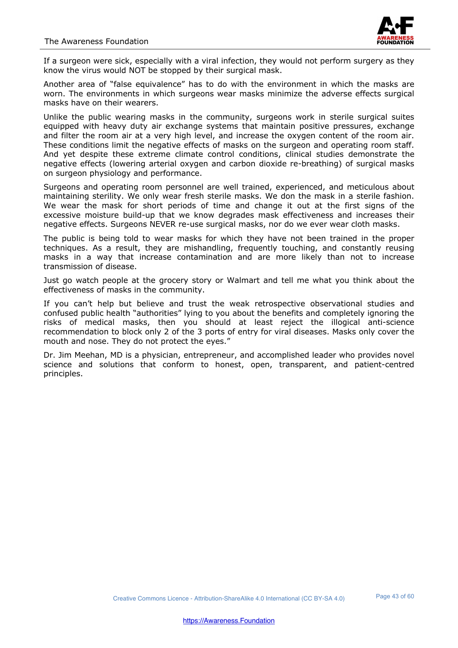

If a surgeon were sick, especially with a viral infection, they would not perform surgery as they know the virus would NOT be stopped by their surgical mask.

Another area of "false equivalence" has to do with the environment in which the masks are worn. The environments in which surgeons wear masks minimize the adverse effects surgical masks have on their wearers.

Unlike the public wearing masks in the community, surgeons work in sterile surgical suites equipped with heavy duty air exchange systems that maintain positive pressures, exchange and filter the room air at a very high level, and increase the oxygen content of the room air. These conditions limit the negative effects of masks on the surgeon and operating room staff. And yet despite these extreme climate control conditions, clinical studies demonstrate the negative effects (lowering arterial oxygen and carbon dioxide re-breathing) of surgical masks on surgeon physiology and performance.

Surgeons and operating room personnel are well trained, experienced, and meticulous about maintaining sterility. We only wear fresh sterile masks. We don the mask in a sterile fashion. We wear the mask for short periods of time and change it out at the first signs of the excessive moisture build-up that we know degrades mask effectiveness and increases their negative effects. Surgeons NEVER re-use surgical masks, nor do we ever wear cloth masks.

The public is being told to wear masks for which they have not been trained in the proper techniques. As a result, they are mishandling, frequently touching, and constantly reusing masks in a way that increase contamination and are more likely than not to increase transmission of disease.

Just go watch people at the grocery story or Walmart and tell me what you think about the effectiveness of masks in the community.

If you can't help but believe and trust the weak retrospective observational studies and confused public health "authorities" lying to you about the benefits and completely ignoring the risks of medical masks, then you should at least reject the illogical anti-science recommendation to block only 2 of the 3 ports of entry for viral diseases. Masks only cover the mouth and nose. They do not protect the eyes."

Dr. Jim Meehan, MD is a physician, entrepreneur, and accomplished leader who provides novel science and solutions that conform to honest, open, transparent, and patient-centred principles.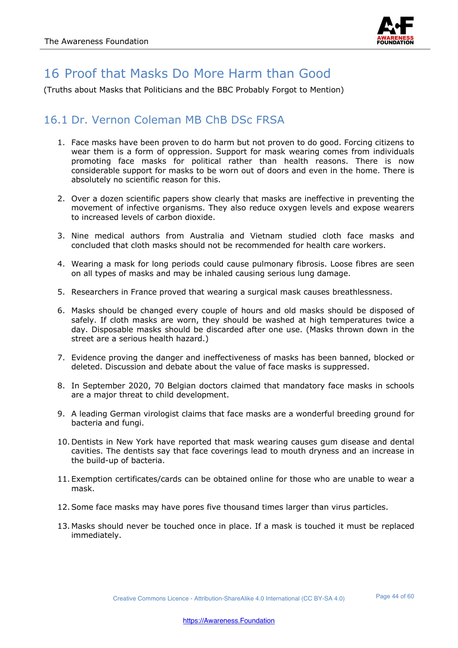

## 16 Proof that Masks Do More Harm than Good

(Truths about Masks that Politicians and the BBC Probably Forgot to Mention)

#### 16.1 Dr. Vernon Coleman MB ChB DSc FRSA

- 1. Face masks have been proven to do harm but not proven to do good. Forcing citizens to wear them is a form of oppression. Support for mask wearing comes from individuals promoting face masks for political rather than health reasons. There is now considerable support for masks to be worn out of doors and even in the home. There is absolutely no scientific reason for this.
- 2. Over a dozen scientific papers show clearly that masks are ineffective in preventing the movement of infective organisms. They also reduce oxygen levels and expose wearers to increased levels of carbon dioxide.
- 3. Nine medical authors from Australia and Vietnam studied cloth face masks and concluded that cloth masks should not be recommended for health care workers.
- 4. Wearing a mask for long periods could cause pulmonary fibrosis. Loose fibres are seen on all types of masks and may be inhaled causing serious lung damage.
- 5. Researchers in France proved that wearing a surgical mask causes breathlessness.
- 6. Masks should be changed every couple of hours and old masks should be disposed of safely. If cloth masks are worn, they should be washed at high temperatures twice a day. Disposable masks should be discarded after one use. (Masks thrown down in the street are a serious health hazard.)
- 7. Evidence proving the danger and ineffectiveness of masks has been banned, blocked or deleted. Discussion and debate about the value of face masks is suppressed.
- 8. In September 2020, 70 Belgian doctors claimed that mandatory face masks in schools are a major threat to child development.
- 9. A leading German virologist claims that face masks are a wonderful breeding ground for bacteria and fungi.
- 10. Dentists in New York have reported that mask wearing causes gum disease and dental cavities. The dentists say that face coverings lead to mouth dryness and an increase in the build-up of bacteria.
- 11. Exemption certificates/cards can be obtained online for those who are unable to wear a mask.
- 12.Some face masks may have pores five thousand times larger than virus particles.
- 13. Masks should never be touched once in place. If a mask is touched it must be replaced immediately.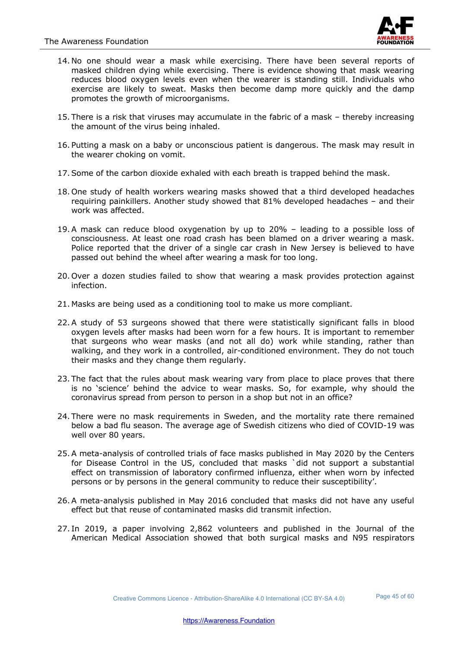

- 14. No one should wear a mask while exercising. There have been several reports of masked children dying while exercising. There is evidence showing that mask wearing reduces blood oxygen levels even when the wearer is standing still. Individuals who exercise are likely to sweat. Masks then become damp more quickly and the damp promotes the growth of microorganisms.
- 15. There is a risk that viruses may accumulate in the fabric of a mask thereby increasing the amount of the virus being inhaled.
- 16. Putting a mask on a baby or unconscious patient is dangerous. The mask may result in the wearer choking on vomit.
- 17.Some of the carbon dioxide exhaled with each breath is trapped behind the mask.
- 18. One study of health workers wearing masks showed that a third developed headaches requiring painkillers. Another study showed that 81% developed headaches – and their work was affected.
- 19.A mask can reduce blood oxygenation by up to 20% leading to a possible loss of consciousness. At least one road crash has been blamed on a driver wearing a mask. Police reported that the driver of a single car crash in New Jersey is believed to have passed out behind the wheel after wearing a mask for too long.
- 20. Over a dozen studies failed to show that wearing a mask provides protection against infection.
- 21. Masks are being used as a conditioning tool to make us more compliant.
- 22.A study of 53 surgeons showed that there were statistically significant falls in blood oxygen levels after masks had been worn for a few hours. It is important to remember that surgeons who wear masks (and not all do) work while standing, rather than walking, and they work in a controlled, air-conditioned environment. They do not touch their masks and they change them regularly.
- 23. The fact that the rules about mask wearing vary from place to place proves that there is no 'science' behind the advice to wear masks. So, for example, why should the coronavirus spread from person to person in a shop but not in an office?
- 24. There were no mask requirements in Sweden, and the mortality rate there remained below a bad flu season. The average age of Swedish citizens who died of COVID-19 was well over 80 years.
- 25.A meta-analysis of controlled trials of face masks published in May 2020 by the Centers for Disease Control in the US, concluded that masks `did not support a substantial effect on transmission of laboratory confirmed influenza, either when worn by infected persons or by persons in the general community to reduce their susceptibility'.
- 26.A meta-analysis published in May 2016 concluded that masks did not have any useful effect but that reuse of contaminated masks did transmit infection.
- 27. In 2019, a paper involving 2,862 volunteers and published in the Journal of the American Medical Association showed that both surgical masks and N95 respirators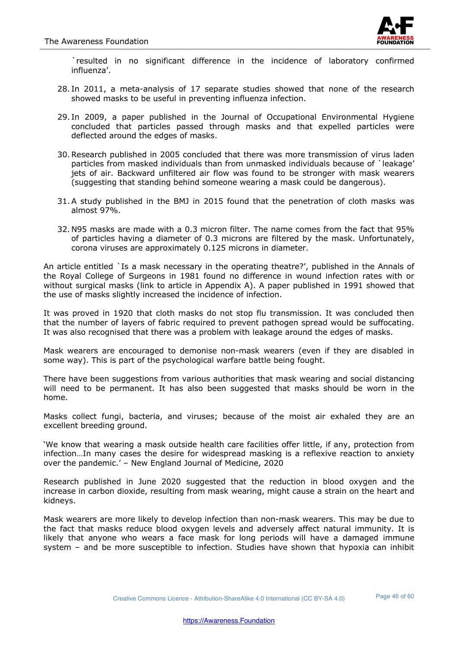

`resulted in no significant difference in the incidence of laboratory confirmed influenza'.

- 28. In 2011, a meta-analysis of 17 separate studies showed that none of the research showed masks to be useful in preventing influenza infection.
- 29. In 2009, a paper published in the Journal of Occupational Environmental Hygiene concluded that particles passed through masks and that expelled particles were deflected around the edges of masks.
- 30.Research published in 2005 concluded that there was more transmission of virus laden particles from masked individuals than from unmasked individuals because of `leakage' jets of air. Backward unfiltered air flow was found to be stronger with mask wearers (suggesting that standing behind someone wearing a mask could be dangerous).
- 31.A study published in the BMJ in 2015 found that the penetration of cloth masks was almost 97%.
- 32. N95 masks are made with a 0.3 micron filter. The name comes from the fact that 95% of particles having a diameter of 0.3 microns are filtered by the mask. Unfortunately, corona viruses are approximately 0.125 microns in diameter.

An article entitled `Is a mask necessary in the operating theatre?', published in the Annals of the Royal College of Surgeons in 1981 found no difference in wound infection rates with or without surgical masks (link to article in Appendix A). A paper published in 1991 showed that the use of masks slightly increased the incidence of infection.

It was proved in 1920 that cloth masks do not stop flu transmission. It was concluded then that the number of layers of fabric required to prevent pathogen spread would be suffocating. It was also recognised that there was a problem with leakage around the edges of masks.

Mask wearers are encouraged to demonise non-mask wearers (even if they are disabled in some way). This is part of the psychological warfare battle being fought.

There have been suggestions from various authorities that mask wearing and social distancing will need to be permanent. It has also been suggested that masks should be worn in the home.

Masks collect fungi, bacteria, and viruses; because of the moist air exhaled they are an excellent breeding ground.

'We know that wearing a mask outside health care facilities offer little, if any, protection from infection…In many cases the desire for widespread masking is a reflexive reaction to anxiety over the pandemic.' – New England Journal of Medicine, 2020

Research published in June 2020 suggested that the reduction in blood oxygen and the increase in carbon dioxide, resulting from mask wearing, might cause a strain on the heart and kidneys.

Mask wearers are more likely to develop infection than non-mask wearers. This may be due to the fact that masks reduce blood oxygen levels and adversely affect natural immunity. It is likely that anyone who wears a face mask for long periods will have a damaged immune system – and be more susceptible to infection. Studies have shown that hypoxia can inhibit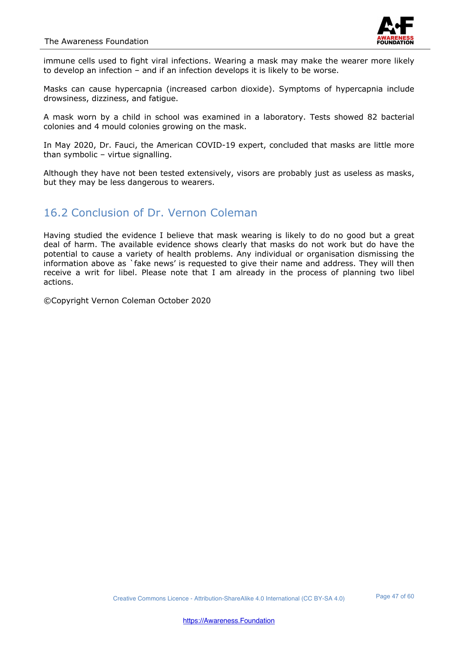

immune cells used to fight viral infections. Wearing a mask may make the wearer more likely to develop an infection – and if an infection develops it is likely to be worse.

Masks can cause hypercapnia (increased carbon dioxide). Symptoms of hypercapnia include drowsiness, dizziness, and fatigue.

A mask worn by a child in school was examined in a laboratory. Tests showed 82 bacterial colonies and 4 mould colonies growing on the mask.

In May 2020, Dr. Fauci, the American COVID-19 expert, concluded that masks are little more than symbolic – virtue signalling.

Although they have not been tested extensively, visors are probably just as useless as masks, but they may be less dangerous to wearers.

#### 16.2 Conclusion of Dr. Vernon Coleman

Having studied the evidence I believe that mask wearing is likely to do no good but a great deal of harm. The available evidence shows clearly that masks do not work but do have the potential to cause a variety of health problems. Any individual or organisation dismissing the information above as `fake news' is requested to give their name and address. They will then receive a writ for libel. Please note that I am already in the process of planning two libel actions.

©Copyright Vernon Coleman October 2020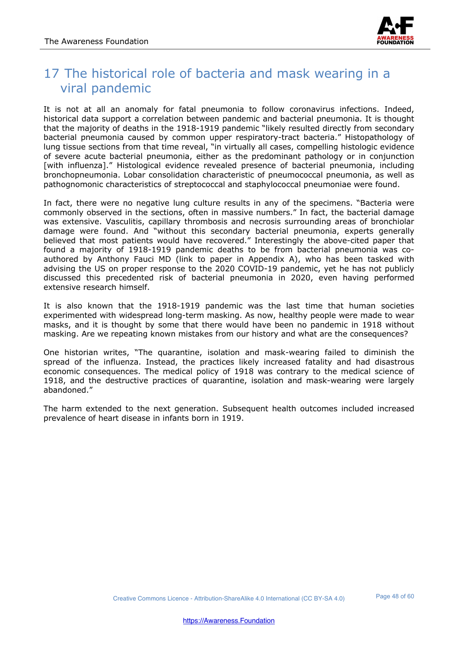

## 17 The historical role of bacteria and mask wearing in a viral pandemic

It is not at all an anomaly for fatal pneumonia to follow coronavirus infections. Indeed, historical data support a correlation between pandemic and bacterial pneumonia. It is thought that the majority of deaths in the 1918-1919 pandemic "likely resulted directly from secondary bacterial pneumonia caused by common upper respiratory-tract bacteria." Histopathology of lung tissue sections from that time reveal, "in virtually all cases, compelling histologic evidence of severe acute bacterial pneumonia, either as the predominant pathology or in conjunction [with influenza]." Histological evidence revealed presence of bacterial pneumonia, including bronchopneumonia. Lobar consolidation characteristic of pneumococcal pneumonia, as well as pathognomonic characteristics of streptococcal and staphylococcal pneumoniae were found.

In fact, there were no negative lung culture results in any of the specimens. "Bacteria were commonly observed in the sections, often in massive numbers." In fact, the bacterial damage was extensive. Vasculitis, capillary thrombosis and necrosis surrounding areas of bronchiolar damage were found. And "without this secondary bacterial pneumonia, experts generally believed that most patients would have recovered." Interestingly the above-cited paper that found a majority of 1918-1919 pandemic deaths to be from bacterial pneumonia was coauthored by Anthony Fauci MD (link to paper in Appendix A), who has been tasked with advising the US on proper response to the 2020 COVID-19 pandemic, yet he has not publicly discussed this precedented risk of bacterial pneumonia in 2020, even having performed extensive research himself.

It is also known that the 1918-1919 pandemic was the last time that human societies experimented with widespread long-term masking. As now, healthy people were made to wear masks, and it is thought by some that there would have been no pandemic in 1918 without masking. Are we repeating known mistakes from our history and what are the consequences?

One historian writes, "The quarantine, isolation and mask-wearing failed to diminish the spread of the influenza. Instead, the practices likely increased fatality and had disastrous economic consequences. The medical policy of 1918 was contrary to the medical science of 1918, and the destructive practices of quarantine, isolation and mask-wearing were largely abandoned."

The harm extended to the next generation. Subsequent health outcomes included increased prevalence of heart disease in infants born in 1919.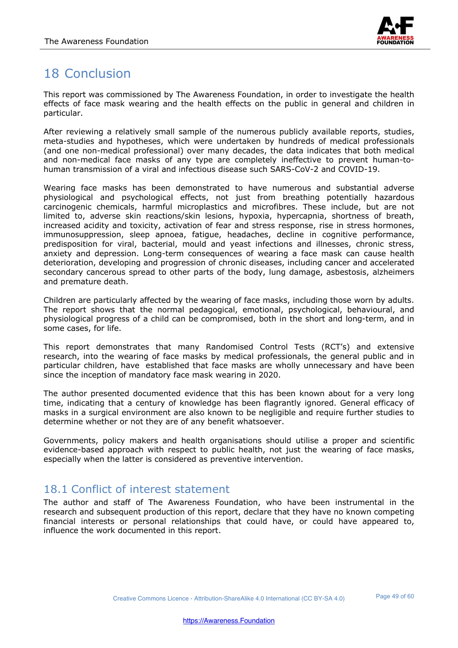

# 18 Conclusion

This report was commissioned by The Awareness Foundation, in order to investigate the health effects of face mask wearing and the health effects on the public in general and children in particular.

After reviewing a relatively small sample of the numerous publicly available reports, studies, meta-studies and hypotheses, which were undertaken by hundreds of medical professionals (and one non-medical professional) over many decades, the data indicates that both medical and non-medical face masks of any type are completely ineffective to prevent human-tohuman transmission of a viral and infectious disease such SARS-CoV-2 and COVID-19.

Wearing face masks has been demonstrated to have numerous and substantial adverse physiological and psychological effects, not just from breathing potentially hazardous carcinogenic chemicals, harmful microplastics and microfibres. These include, but are not limited to, adverse skin reactions/skin lesions, hypoxia, hypercapnia, shortness of breath, increased acidity and toxicity, activation of fear and stress response, rise in stress hormones, immunosuppression, sleep apnoea, fatigue, headaches, decline in cognitive performance, predisposition for viral, bacterial, mould and yeast infections and illnesses, chronic stress, anxiety and depression. Long-term consequences of wearing a face mask can cause health deterioration, developing and progression of chronic diseases, including cancer and accelerated secondary cancerous spread to other parts of the body, lung damage, asbestosis, alzheimers and premature death.

Children are particularly affected by the wearing of face masks, including those worn by adults. The report shows that the normal pedagogical, emotional, psychological, behavioural, and physiological progress of a child can be compromised, both in the short and long-term, and in some cases, for life.

This report demonstrates that many Randomised Control Tests (RCT's) and extensive research, into the wearing of face masks by medical professionals, the general public and in particular children, have established that face masks are wholly unnecessary and have been since the inception of mandatory face mask wearing in 2020.

The author presented documented evidence that this has been known about for a very long time, indicating that a century of knowledge has been flagrantly ignored. General efficacy of masks in a surgical environment are also known to be negligible and require further studies to determine whether or not they are of any benefit whatsoever.

Governments, policy makers and health organisations should utilise a proper and scientific evidence-based approach with respect to public health, not just the wearing of face masks, especially when the latter is considered as preventive intervention.

#### 18.1 Conflict of interest statement

The author and staff of The Awareness Foundation, who have been instrumental in the research and subsequent production of this report, declare that they have no known competing financial interests or personal relationships that could have, or could have appeared to, influence the work documented in this report.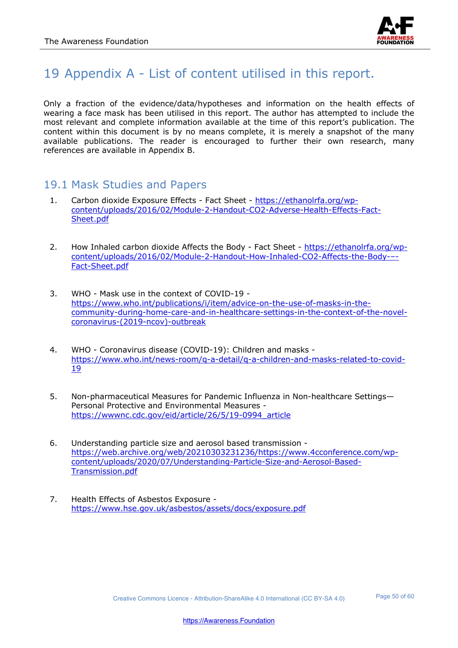

# 19 Appendix A - List of content utilised in this report.

Only a fraction of the evidence/data/hypotheses and information on the health effects of wearing a face mask has been utilised in this report. The author has attempted to include the most relevant and complete information available at the time of this report's publication. The content within this document is by no means complete, it is merely a snapshot of the many available publications. The reader is encouraged to further their own research, many references are available in Appendix B.

#### 19.1 Mask Studies and Papers

- 1. Carbon dioxide Exposure Effects Fact Sheet https://ethanolrfa.org/wpcontent/uploads/2016/02/Module-2-Handout-CO2-Adverse-Health-Effects-Fact-Sheet.pdf
- 2. How Inhaled carbon dioxide Affects the Body Fact Sheet https://ethanolrfa.org/wpcontent/uploads/2016/02/Module-2-Handout-How-Inhaled-CO2-Affects-the-Body-–- Fact-Sheet.pdf
- 3. WHO Mask use in the context of COVID-19 https://www.who.int/publications/i/item/advice-on-the-use-of-masks-in-thecommunity-during-home-care-and-in-healthcare-settings-in-the-context-of-the-novelcoronavirus-(2019-ncov)-outbreak
- 4. WHO Coronavirus disease (COVID-19): Children and masks https://www.who.int/news-room/q-a-detail/q-a-children-and-masks-related-to-covid-19
- 5. Non-pharmaceutical Measures for Pandemic Influenza in Non-healthcare Settings— Personal Protective and Environmental Measures https://wwwnc.cdc.gov/eid/article/26/5/19-0994\_article
- 6. Understanding particle size and aerosol based transmission https://web.archive.org/web/20210303231236/https://www.4cconference.com/wpcontent/uploads/2020/07/Understanding-Particle-Size-and-Aerosol-Based-Transmission.pdf
- 7. Health Effects of Asbestos Exposure https://www.hse.gov.uk/asbestos/assets/docs/exposure.pdf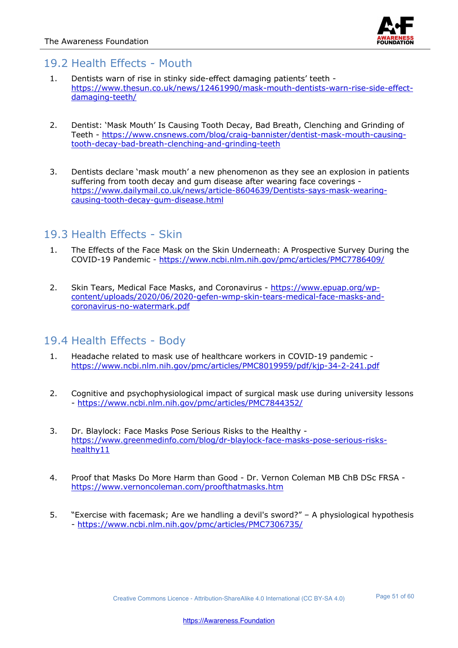

#### 19.2 Health Effects - Mouth

- 1. Dentists warn of rise in stinky side-effect damaging patients' teeth https://www.thesun.co.uk/news/12461990/mask-mouth-dentists-warn-rise-side-effectdamaging-teeth/
- 2. Dentist: 'Mask Mouth' Is Causing Tooth Decay, Bad Breath, Clenching and Grinding of Teeth - https://www.cnsnews.com/blog/craig-bannister/dentist-mask-mouth-causingtooth-decay-bad-breath-clenching-and-grinding-teeth
- 3. Dentists declare 'mask mouth' a new phenomenon as they see an explosion in patients suffering from tooth decay and gum disease after wearing face coverings https://www.dailymail.co.uk/news/article-8604639/Dentists-says-mask-wearingcausing-tooth-decay-gum-disease.html

#### 19.3 Health Effects - Skin

- 1. The Effects of the Face Mask on the Skin Underneath: A Prospective Survey During the COVID-19 Pandemic - https://www.ncbi.nlm.nih.gov/pmc/articles/PMC7786409/
- 2. Skin Tears, Medical Face Masks, and Coronavirus https://www.epuap.org/wpcontent/uploads/2020/06/2020-gefen-wmp-skin-tears-medical-face-masks-andcoronavirus-no-watermark.pdf

#### 19.4 Health Effects - Body

- 1. Headache related to mask use of healthcare workers in COVID-19 pandemic https://www.ncbi.nlm.nih.gov/pmc/articles/PMC8019959/pdf/kjp-34-2-241.pdf
- 2. Cognitive and psychophysiological impact of surgical mask use during university lessons - https://www.ncbi.nlm.nih.gov/pmc/articles/PMC7844352/
- 3. Dr. Blaylock: Face Masks Pose Serious Risks to the Healthy https://www.greenmedinfo.com/blog/dr-blaylock-face-masks-pose-serious-riskshealthy11
- 4. Proof that Masks Do More Harm than Good Dr. Vernon Coleman MB ChB DSc FRSA https://www.vernoncoleman.com/proofthatmasks.htm
- 5. "Exercise with facemask; Are we handling a devil's sword?" A physiological hypothesis - https://www.ncbi.nlm.nih.gov/pmc/articles/PMC7306735/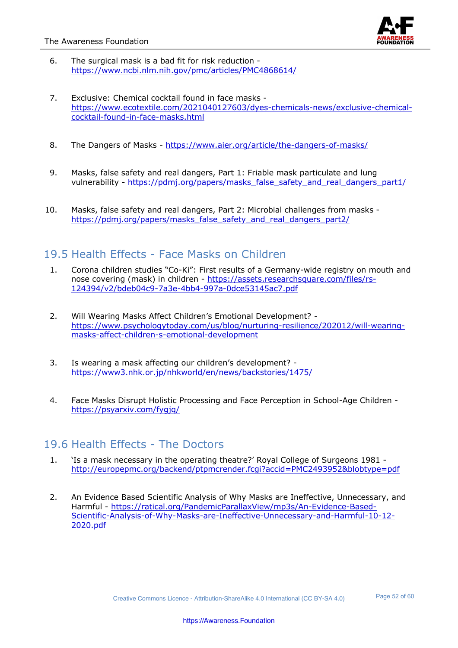

- 6. The surgical mask is a bad fit for risk reduction https://www.ncbi.nlm.nih.gov/pmc/articles/PMC4868614/
- 7. Exclusive: Chemical cocktail found in face masks https://www.ecotextile.com/2021040127603/dyes-chemicals-news/exclusive-chemicalcocktail-found-in-face-masks.html
- 8. The Dangers of Masks https://www.aier.org/article/the-dangers-of-masks/
- 9. Masks, false safety and real dangers, Part 1: Friable mask particulate and lung vulnerability - https://pdmj.org/papers/masks\_false\_safety\_and\_real\_dangers\_part1/
- 10. Masks, false safety and real dangers, Part 2: Microbial challenges from masks https://pdmj.org/papers/masks\_false\_safety\_and\_real\_dangers\_part2/

#### 19.5 Health Effects - Face Masks on Children

- 1. Corona children studies "Co-Ki": First results of a Germany-wide registry on mouth and nose covering (mask) in children - https://assets.researchsquare.com/files/rs-124394/v2/bdeb04c9-7a3e-4bb4-997a-0dce53145ac7.pdf
- 2. Will Wearing Masks Affect Children's Emotional Development? https://www.psychologytoday.com/us/blog/nurturing-resilience/202012/will-wearingmasks-affect-children-s-emotional-development
- 3. Is wearing a mask affecting our children's development? https://www3.nhk.or.jp/nhkworld/en/news/backstories/1475/
- 4. Face Masks Disrupt Holistic Processing and Face Perception in School-Age Children https://psyarxiv.com/fygjq/

#### 19.6 Health Effects - The Doctors

- 1. 'Is a mask necessary in the operating theatre?' Royal College of Surgeons 1981 http://europepmc.org/backend/ptpmcrender.fcgi?accid=PMC2493952&blobtype=pdf
- 2. An Evidence Based Scientific Analysis of Why Masks are Ineffective, Unnecessary, and Harmful - https://ratical.org/PandemicParallaxView/mp3s/An-Evidence-Based-Scientific-Analysis-of-Why-Masks-are-Ineffective-Unnecessary-and-Harmful-10-12- 2020.pdf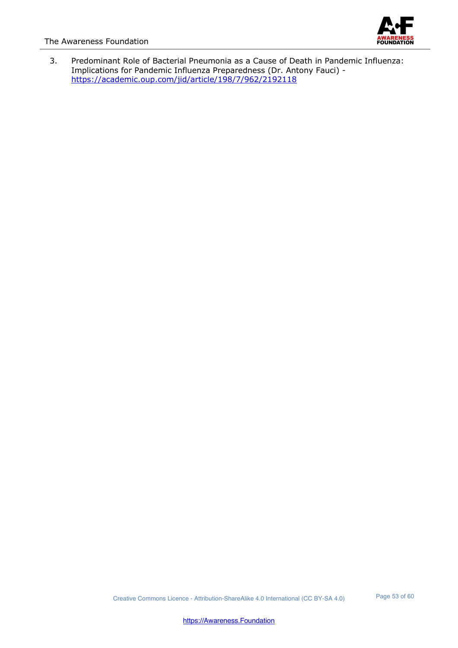

3. Predominant Role of Bacterial Pneumonia as a Cause of Death in Pandemic Influenza: Implications for Pandemic Influenza Preparedness (Dr. Antony Fauci) https://academic.oup.com/jid/article/198/7/962/2192118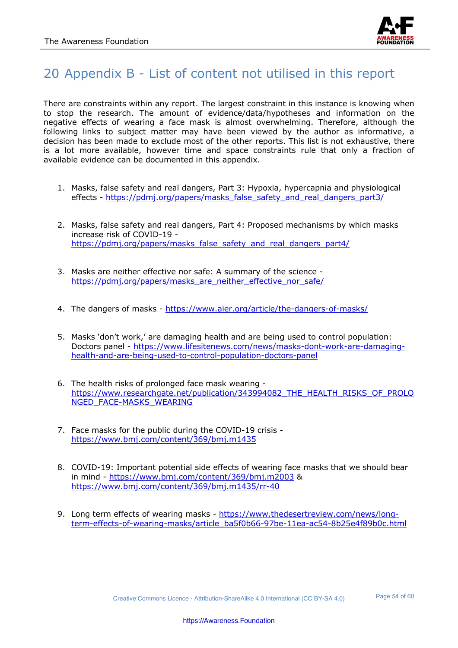

## 20 Appendix B - List of content not utilised in this report

There are constraints within any report. The largest constraint in this instance is knowing when to stop the research. The amount of evidence/data/hypotheses and information on the negative effects of wearing a face mask is almost overwhelming. Therefore, although the following links to subject matter may have been viewed by the author as informative, a decision has been made to exclude most of the other reports. This list is not exhaustive, there is a lot more available, however time and space constraints rule that only a fraction of available evidence can be documented in this appendix.

- 1. Masks, false safety and real dangers, Part 3: Hypoxia, hypercapnia and physiological effects - https://pdmj.org/papers/masks\_false\_safety\_and\_real\_dangers\_part3/
- 2. Masks, false safety and real dangers, Part 4: Proposed mechanisms by which masks increase risk of COVID-19 https://pdmj.org/papers/masks\_false\_safety\_and\_real\_dangers\_part4/
- 3. Masks are neither effective nor safe: A summary of the science https://pdmj.org/papers/masks\_are\_neither\_effective\_nor\_safe/
- 4. The dangers of masks https://www.aier.org/article/the-dangers-of-masks/
- 5. Masks 'don't work,' are damaging health and are being used to control population: Doctors panel - https://www.lifesitenews.com/news/masks-dont-work-are-damaginghealth-and-are-being-used-to-control-population-doctors-panel
- 6. The health risks of prolonged face mask wearing https://www.researchgate.net/publication/343994082\_THE\_HEALTH\_RISKS\_OF\_PROLO NGED\_FACE-MASKS\_WEARING
- 7. Face masks for the public during the COVID-19 crisis https://www.bmj.com/content/369/bmj.m1435
- 8. COVID-19: Important potential side effects of wearing face masks that we should bear in mind - https://www.bmj.com/content/369/bmj.m2003 & https://www.bmj.com/content/369/bmj.m1435/rr-40
- 9. Long term effects of wearing masks https://www.thedesertreview.com/news/longterm-effects-of-wearing-masks/article\_ba5f0b66-97be-11ea-ac54-8b25e4f89b0c.html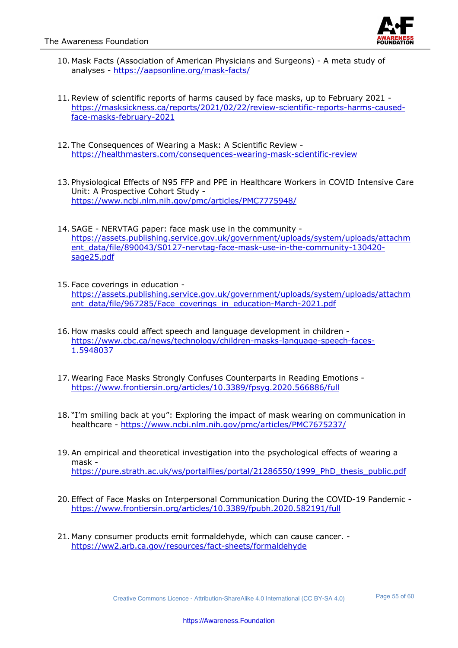

- 10. Mask Facts (Association of American Physicians and Surgeons) A meta study of analyses - https://aapsonline.org/mask-facts/
- 11.Review of scientific reports of harms caused by face masks, up to February 2021 https://masksickness.ca/reports/2021/02/22/review-scientific-reports-harms-causedface-masks-february-2021
- 12. The Consequences of Wearing a Mask: A Scientific Review https://healthmasters.com/consequences-wearing-mask-scientific-review
- 13. Physiological Effects of N95 FFP and PPE in Healthcare Workers in COVID Intensive Care Unit: A Prospective Cohort Study https://www.ncbi.nlm.nih.gov/pmc/articles/PMC7775948/
- 14.SAGE NERVTAG paper: face mask use in the community https://assets.publishing.service.gov.uk/government/uploads/system/uploads/attachm ent\_data/file/890043/S0127-nervtag-face-mask-use-in-the-community-130420 sage25.pdf
- 15. Face coverings in education https://assets.publishing.service.gov.uk/government/uploads/system/uploads/attachm ent\_data/file/967285/Face\_coverings\_in\_education-March-2021.pdf
- 16. How masks could affect speech and language development in children https://www.cbc.ca/news/technology/children-masks-language-speech-faces-1.5948037
- 17.Wearing Face Masks Strongly Confuses Counterparts in Reading Emotions https://www.frontiersin.org/articles/10.3389/fpsyg.2020.566886/full
- 18. "I'm smiling back at you": Exploring the impact of mask wearing on communication in healthcare - https://www.ncbi.nlm.nih.gov/pmc/articles/PMC7675237/
- 19.An empirical and theoretical investigation into the psychological effects of wearing a mask https://pure.strath.ac.uk/ws/portalfiles/portal/21286550/1999\_PhD\_thesis\_public.pdf
- 20. Effect of Face Masks on Interpersonal Communication During the COVID-19 Pandemic https://www.frontiersin.org/articles/10.3389/fpubh.2020.582191/full
- 21. Many consumer products emit formaldehyde, which can cause cancer. https://ww2.arb.ca.gov/resources/fact-sheets/formaldehyde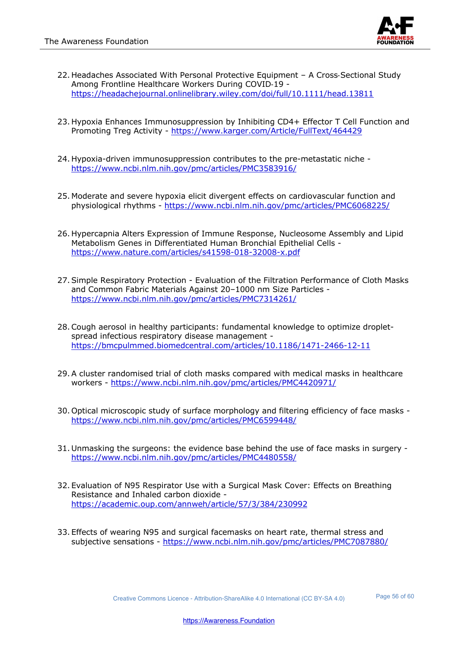

- 22. Headaches Associated With Personal Protective Equipment A Cross-Sectional Study Among Frontline Healthcare Workers During COVID-19 https://headachejournal.onlinelibrary.wiley.com/doi/full/10.1111/head.13811
- 23. Hypoxia Enhances Immunosuppression by Inhibiting CD4+ Effector T Cell Function and Promoting Treg Activity - https://www.karger.com/Article/FullText/464429
- 24. Hypoxia-driven immunosuppression contributes to the pre-metastatic niche https://www.ncbi.nlm.nih.gov/pmc/articles/PMC3583916/
- 25. Moderate and severe hypoxia elicit divergent effects on cardiovascular function and physiological rhythms - https://www.ncbi.nlm.nih.gov/pmc/articles/PMC6068225/
- 26. Hypercapnia Alters Expression of Immune Response, Nucleosome Assembly and Lipid Metabolism Genes in Differentiated Human Bronchial Epithelial Cells https://www.nature.com/articles/s41598-018-32008-x.pdf
- 27.Simple Respiratory Protection Evaluation of the Filtration Performance of Cloth Masks and Common Fabric Materials Against 20–1000 nm Size Particles https://www.ncbi.nlm.nih.gov/pmc/articles/PMC7314261/
- 28.Cough aerosol in healthy participants: fundamental knowledge to optimize dropletspread infectious respiratory disease management https://bmcpulmmed.biomedcentral.com/articles/10.1186/1471-2466-12-11
- 29.A cluster randomised trial of cloth masks compared with medical masks in healthcare workers - https://www.ncbi.nlm.nih.gov/pmc/articles/PMC4420971/
- 30. Optical microscopic study of surface morphology and filtering efficiency of face masks https://www.ncbi.nlm.nih.gov/pmc/articles/PMC6599448/
- 31. Unmasking the surgeons: the evidence base behind the use of face masks in surgery https://www.ncbi.nlm.nih.gov/pmc/articles/PMC4480558/
- 32. Evaluation of N95 Respirator Use with a Surgical Mask Cover: Effects on Breathing Resistance and Inhaled carbon dioxide https://academic.oup.com/annweh/article/57/3/384/230992
- 33. Effects of wearing N95 and surgical facemasks on heart rate, thermal stress and subjective sensations - https://www.ncbi.nlm.nih.gov/pmc/articles/PMC7087880/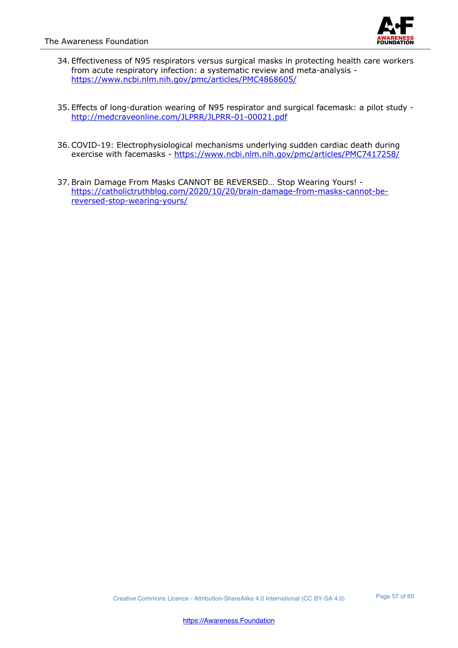

- 34. Effectiveness of N95 respirators versus surgical masks in protecting health care workers from acute respiratory infection: a systematic review and meta-analysis https://www.ncbi.nlm.nih.gov/pmc/articles/PMC4868605/
- 35. Effects of long-duration wearing of N95 respirator and surgical facemask: a pilot study http://medcraveonline.com/JLPRR/JLPRR-01-00021.pdf
- 36.COVID-19: Electrophysiological mechanisms underlying sudden cardiac death during exercise with facemasks - https://www.ncbi.nlm.nih.gov/pmc/articles/PMC7417258/
- 37.Brain Damage From Masks CANNOT BE REVERSED… Stop Wearing Yours! https://catholictruthblog.com/2020/10/20/brain-damage-from-masks-cannot-bereversed-stop-wearing-yours/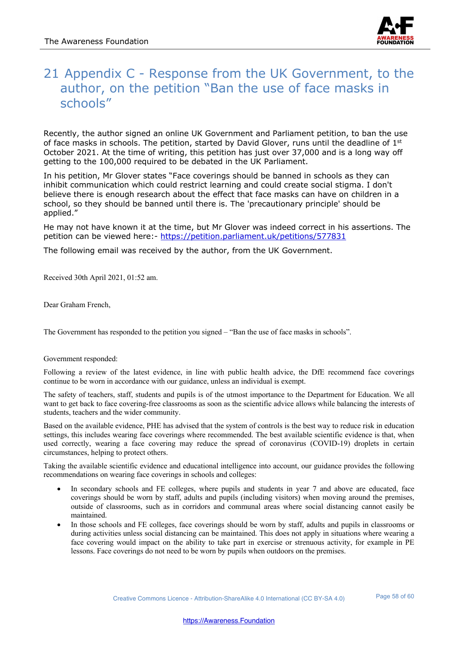

## 21 Appendix C - Response from the UK Government, to the author, on the petition "Ban the use of face masks in schools"

Recently, the author signed an online UK Government and Parliament petition, to ban the use of face masks in schools. The petition, started by David Glover, runs until the deadline of 1<sup>st</sup> October 2021. At the time of writing, this petition has just over 37,000 and is a long way off getting to the 100,000 required to be debated in the UK Parliament.

In his petition, Mr Glover states "Face coverings should be banned in schools as they can inhibit communication which could restrict learning and could create social stigma. I don't believe there is enough research about the effect that face masks can have on children in a school, so they should be banned until there is. The 'precautionary principle' should be applied."

He may not have known it at the time, but Mr Glover was indeed correct in his assertions. The petition can be viewed here:- https://petition.parliament.uk/petitions/577831

The following email was received by the author, from the UK Government.

Received 30th April 2021, 01:52 am.

Dear Graham French,

The Government has responded to the petition you signed – "Ban the use of face masks in schools".

#### Government responded:

Following a review of the latest evidence, in line with public health advice, the DfE recommend face coverings continue to be worn in accordance with our guidance, unless an individual is exempt.

The safety of teachers, staff, students and pupils is of the utmost importance to the Department for Education. We all want to get back to face covering-free classrooms as soon as the scientific advice allows while balancing the interests of students, teachers and the wider community.

Based on the available evidence, PHE has advised that the system of controls is the best way to reduce risk in education settings, this includes wearing face coverings where recommended. The best available scientific evidence is that, when used correctly, wearing a face covering may reduce the spread of coronavirus (COVID-19) droplets in certain circumstances, helping to protect others.

Taking the available scientific evidence and educational intelligence into account, our guidance provides the following recommendations on wearing face coverings in schools and colleges:

- In secondary schools and FE colleges, where pupils and students in year 7 and above are educated, face coverings should be worn by staff, adults and pupils (including visitors) when moving around the premises, outside of classrooms, such as in corridors and communal areas where social distancing cannot easily be maintained.
- In those schools and FE colleges, face coverings should be worn by staff, adults and pupils in classrooms or during activities unless social distancing can be maintained. This does not apply in situations where wearing a face covering would impact on the ability to take part in exercise or strenuous activity, for example in PE lessons. Face coverings do not need to be worn by pupils when outdoors on the premises.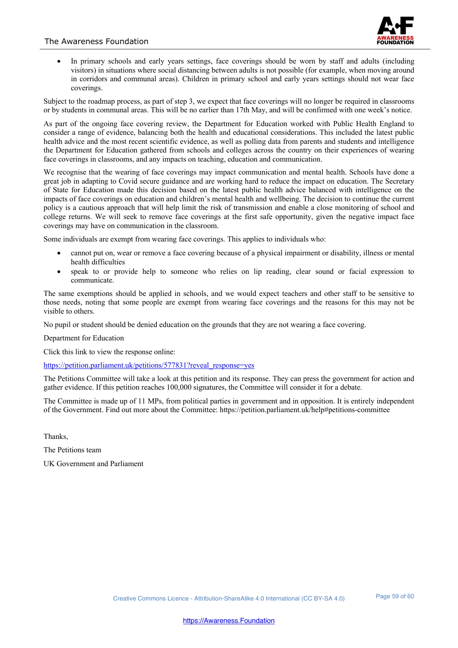

• In primary schools and early years settings, face coverings should be worn by staff and adults (including visitors) in situations where social distancing between adults is not possible (for example, when moving around in corridors and communal areas). Children in primary school and early years settings should not wear face coverings.

Subject to the roadmap process, as part of step 3, we expect that face coverings will no longer be required in classrooms or by students in communal areas. This will be no earlier than 17th May, and will be confirmed with one week's notice.

As part of the ongoing face covering review, the Department for Education worked with Public Health England to consider a range of evidence, balancing both the health and educational considerations. This included the latest public health advice and the most recent scientific evidence, as well as polling data from parents and students and intelligence the Department for Education gathered from schools and colleges across the country on their experiences of wearing face coverings in classrooms, and any impacts on teaching, education and communication.

We recognise that the wearing of face coverings may impact communication and mental health. Schools have done a great job in adapting to Covid secure guidance and are working hard to reduce the impact on education. The Secretary of State for Education made this decision based on the latest public health advice balanced with intelligence on the impacts of face coverings on education and children's mental health and wellbeing. The decision to continue the current policy is a cautious approach that will help limit the risk of transmission and enable a close monitoring of school and college returns. We will seek to remove face coverings at the first safe opportunity, given the negative impact face coverings may have on communication in the classroom.

Some individuals are exempt from wearing face coverings. This applies to individuals who:

- cannot put on, wear or remove a face covering because of a physical impairment or disability, illness or mental health difficulties
- speak to or provide help to someone who relies on lip reading, clear sound or facial expression to communicate.

The same exemptions should be applied in schools, and we would expect teachers and other staff to be sensitive to those needs, noting that some people are exempt from wearing face coverings and the reasons for this may not be visible to others.

No pupil or student should be denied education on the grounds that they are not wearing a face covering.

Department for Education

Click this link to view the response online:

https://petition.parliament.uk/petitions/577831?reveal\_response=yes

The Petitions Committee will take a look at this petition and its response. They can press the government for action and gather evidence. If this petition reaches 100,000 signatures, the Committee will consider it for a debate.

The Committee is made up of 11 MPs, from political parties in government and in opposition. It is entirely independent of the Government. Find out more about the Committee: https://petition.parliament.uk/help#petitions-committee

Thanks,

The Petitions team

UK Government and Parliament